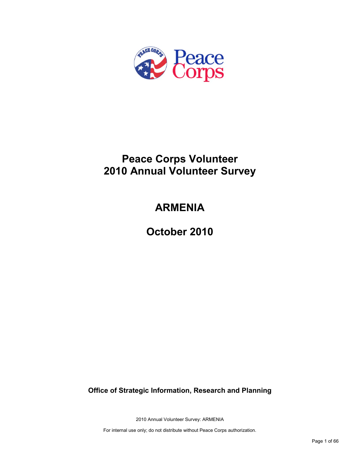

# **Peace Corps Volunteer 2010 Annual Volunteer Survey**

# **ARMENIA**

**October 2010**

**Office of Strategic Information, Research and Planning**

2010 Annual Volunteer Survey: ARMENIA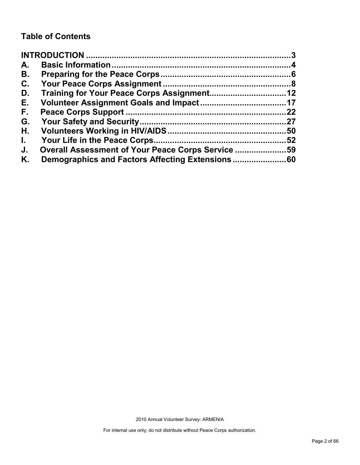## **Table of Contents**

| A.           |                                                   |    |
|--------------|---------------------------------------------------|----|
| В.           |                                                   |    |
| C.           |                                                   |    |
| D.           |                                                   |    |
| Е.           |                                                   |    |
| F.,          |                                                   | 22 |
| G.           |                                                   |    |
| Н.           |                                                   | 50 |
| $\mathbf{L}$ |                                                   | 52 |
| J.           | Overall Assessment of Your Peace Corps Service 59 |    |
| Κ.           |                                                   |    |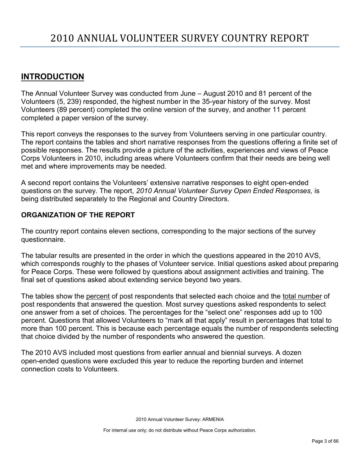## <span id="page-2-0"></span>**INTRODUCTION**

The Annual Volunteer Survey was conducted from June – August 2010 and 81 percent of the Volunteers (5, 239) responded, the highest number in the 35-year history of the survey. Most Volunteers (89 percent) completed the online version of the survey, and another 11 percent completed a paper version of the survey.

This report conveys the responses to the survey from Volunteers serving in one particular country. The report contains the tables and short narrative responses from the questions offering a finite set of possible responses. The results provide a picture of the activities, experiences and views of Peace Corps Volunteers in 2010, including areas where Volunteers confirm that their needs are being well met and where improvements may be needed.

A second report contains the Volunteers' extensive narrative responses to eight open-ended questions on the survey. The report, *2010 Annual Volunteer Survey Open Ended Responses,* is being distributed separately to the Regional and Country Directors.

### **ORGANIZATION OF THE REPORT**

The country report contains eleven sections, corresponding to the major sections of the survey questionnaire.

The tabular results are presented in the order in which the questions appeared in the 2010 AVS, which corresponds roughly to the phases of Volunteer service. Initial questions asked about preparing for Peace Corps. These were followed by questions about assignment activities and training. The final set of questions asked about extending service beyond two years.

The tables show the percent of post respondents that selected each choice and the total number of post respondents that answered the question. Most survey questions asked respondents to select one answer from a set of choices. The percentages for the "select one" responses add up to 100 percent. Questions that allowed Volunteers to "mark all that apply" result in percentages that total to more than 100 percent. This is because each percentage equals the number of respondents selecting that choice divided by the number of respondents who answered the question.

The 2010 AVS included most questions from earlier annual and biennial surveys. A dozen open-ended questions were excluded this year to reduce the reporting burden and internet connection costs to Volunteers.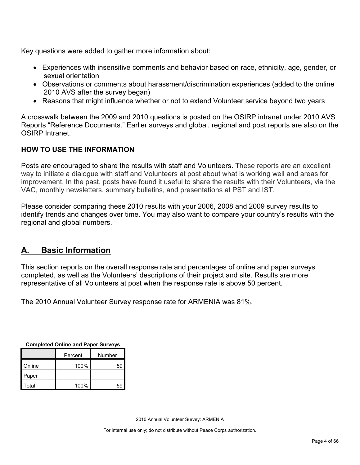Key questions were added to gather more information about:

- Experiences with insensitive comments and behavior based on race, ethnicity, age, gender, or sexual orientation
- Observations or comments about harassment/discrimination experiences (added to the online 2010 AVS after the survey began)
- Reasons that might influence whether or not to extend Volunteer service beyond two years

A crosswalk between the 2009 and 2010 questions is posted on the OSIRP intranet under 2010 AVS Reports "Reference Documents." Earlier surveys and global, regional and post reports are also on the OSIRP Intranet.

### **HOW TO USE THE INFORMATION**

Posts are encouraged to share the results with staff and Volunteers. These reports are an excellent way to initiate a dialogue with staff and Volunteers at post about what is working well and areas for improvement. In the past, posts have found it useful to share the results with their Volunteers, via the VAC, monthly newsletters, summary bulletins, and presentations at PST and IST.

Please consider comparing these 2010 results with your 2006, 2008 and 2009 survey results to identify trends and changes over time. You may also want to compare your country's results with the regional and global numbers.

## <span id="page-3-0"></span>**A. Basic Information**

This section reports on the overall response rate and percentages of online and paper surveys completed, as well as the Volunteers' descriptions of their project and site. Results are more representative of all Volunteers at post when the response rate is above 50 percent.

The 2010 Annual Volunteer Survey response rate for ARMENIA was 81%.

| <b>OUTIDICICA OTHER AND LADGE ONLYGYS</b> |      |        |  |  |
|-------------------------------------------|------|--------|--|--|
| Percent                                   |      | Number |  |  |
| Online                                    | 100% | 59     |  |  |
| Paper                                     |      |        |  |  |
| Total                                     | 100% | 59     |  |  |

**Completed Online and Paper Surveys**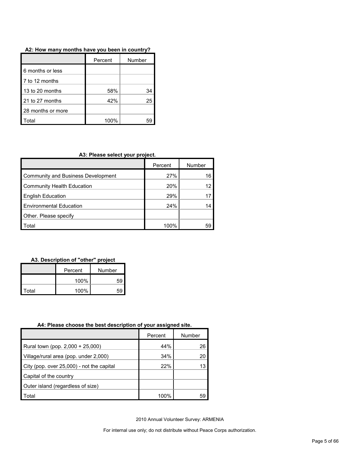#### **A2: How many months have you been in country?**

|                   | Percent | Number |
|-------------------|---------|--------|
| 6 months or less  |         |        |
| 7 to 12 months    |         |        |
| 13 to 20 months   | 58%     | 34     |
| 21 to 27 months   | 42%     | 25     |
| 28 months or more |         |        |
| otal              | 100%    |        |

#### **A3: Please select your project.**

|                                    | Percent | Number |
|------------------------------------|---------|--------|
| Community and Business Development | 27%     | 16     |
| Community Health Education         | 20%     | 12     |
| <b>English Education</b>           | 29%     |        |
| <b>Environmental Education</b>     | 24%     |        |
| Other. Please specify              |         |        |
| Total                              | 100%    |        |

#### **A3. Description of "other" project**

|       | Percent | Number |
|-------|---------|--------|
|       | 100%    | 59     |
| Total | 100%    |        |

#### **A4: Please choose the best description of your assigned site.**

|                                           | Percent | Number |
|-------------------------------------------|---------|--------|
| Rural town (pop. 2,000 + 25,000)          | 44%     | 26     |
| Village/rural area (pop. under 2,000)     | 34%     | 20     |
| City (pop. over 25,000) - not the capital | 22%     | 13     |
| Capital of the country                    |         |        |
| Outer island (regardless of size)         |         |        |
| Total                                     | 100%    | 59     |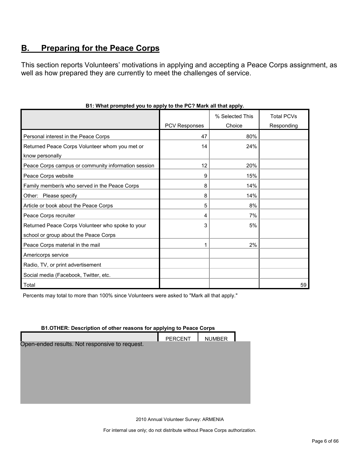## <span id="page-5-0"></span>**B. Preparing for the Peace Corps**

This section reports Volunteers' motivations in applying and accepting a Peace Corps assignment, as well as how prepared they are currently to meet the challenges of service.

|                                                     |               | % Selected This | <b>Total PCVs</b> |
|-----------------------------------------------------|---------------|-----------------|-------------------|
|                                                     | PCV Responses | Choice          | Responding        |
| Personal interest in the Peace Corps                | 47            | 80%             |                   |
| Returned Peace Corps Volunteer whom you met or      | 14            | 24%             |                   |
| know personally                                     |               |                 |                   |
| Peace Corps campus or community information session | 12            | 20%             |                   |
| Peace Corps website                                 | 9             | 15%             |                   |
| Family member/s who served in the Peace Corps       | 8             | 14%             |                   |
| Other: Please specify                               | 8             | 14%             |                   |
| Article or book about the Peace Corps               | 5             | 8%              |                   |
| Peace Corps recruiter                               | 4             | 7%              |                   |
| Returned Peace Corps Volunteer who spoke to your    | 3             | 5%              |                   |
| school or group about the Peace Corps               |               |                 |                   |
| Peace Corps material in the mail                    |               | 2%              |                   |
| Americorps service                                  |               |                 |                   |
| Radio, TV, or print advertisement                   |               |                 |                   |
| Social media (Facebook, Twitter, etc.               |               |                 |                   |
| Total                                               |               |                 | 59                |

#### **B1: What prompted you to apply to the PC? Mark all that apply.**

Percents may total to more than 100% since Volunteers were asked to "Mark all that apply."

#### **B1.OTHER: Description of other reasons for applying to Peace Corps**

|                                                | <b>PERCENT</b> | <b>NUMBER</b> |  |
|------------------------------------------------|----------------|---------------|--|
| Open-ended results. Not responsive to request. |                |               |  |
|                                                |                |               |  |
|                                                |                |               |  |
|                                                |                |               |  |
|                                                |                |               |  |
|                                                |                |               |  |
|                                                |                |               |  |
|                                                |                |               |  |

2010 Annual Volunteer Survey: ARMENIA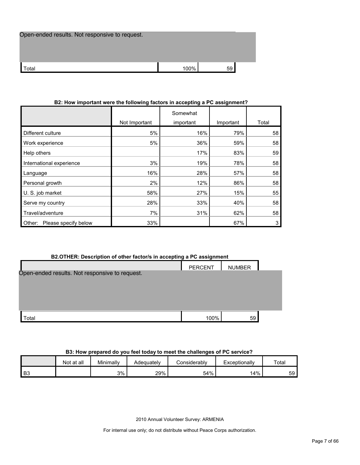| Open-ended results. Not responsive to request. |      |    |
|------------------------------------------------|------|----|
|                                                |      |    |
| Total                                          | 100% | 59 |

## Not Important Somewhat important | Important | Total Different culture 68 16% 16% 16% 58 Work experience 5% 36% 59% 58 Help others  $17\%$   $83\%$   $59$ International experience 19% 19% 19% 19% 78% 58 Language 16% 28% 57% 58 Personal growth 2% 2% 12% 86% 58 U. S. job market 58% 27% 15% 55 Serve my country 1992 10 28% 33% 40% 58 Travel/adventure 7% 7% 31% 62% 58 Other: Please specify below 1 33% 33% 3 34% 3 3 4 4 57% 3 3 4 57% 3 3 4 5 67% 3 3 4 5 67% 3 3 67% 3 3 67% 3 67%

#### **B2: How important were the following factors in accepting a PC assignment?**

| B2.OTHER: Description of other factor/s in accepting a PC assignment |                |               |  |  |  |
|----------------------------------------------------------------------|----------------|---------------|--|--|--|
|                                                                      | <b>PERCENT</b> | <b>NUMBER</b> |  |  |  |
| Open-ended results. Not responsive to request.                       |                |               |  |  |  |
|                                                                      |                |               |  |  |  |
|                                                                      |                |               |  |  |  |
|                                                                      |                |               |  |  |  |
|                                                                      |                |               |  |  |  |
| ⊺otal                                                                | 100%           | 59            |  |  |  |

#### **B3: How prepared do you feel today to meet the challenges of PC service?**

|                | Not at all | Minimally | Adequately | <i>Jonsiderablv</i> | Exceptionally | Total |
|----------------|------------|-----------|------------|---------------------|---------------|-------|
| B <sub>3</sub> |            | 3%        | 29%        | 54%                 | 4%            | 59    |

2010 Annual Volunteer Survey: ARMENIA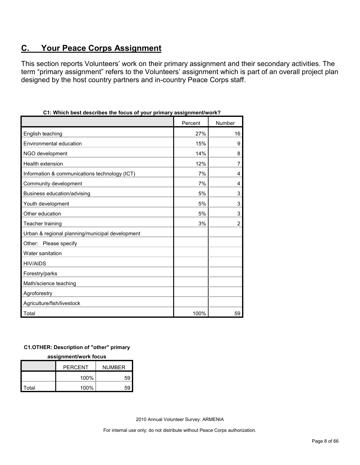## <span id="page-7-0"></span>**C. Your Peace Corps Assignment**

This section reports Volunteers' work on their primary assignment and their secondary activities. The term "primary assignment" refers to the Volunteers' assignment which is part of an overall project plan designed by the host country partners and in-country Peace Corps staff.

| , which best describes the locus of your primary assignment work : |         |                |
|--------------------------------------------------------------------|---------|----------------|
|                                                                    | Percent | Number         |
| English teaching                                                   | 27%     | 16             |
| Environmental education                                            | 15%     | 9              |
| NGO development                                                    | 14%     | 8              |
| Health extension                                                   | 12%     | 7              |
| Information & communications technology (ICT)                      | 7%      | $\overline{4}$ |
| Community development                                              | 7%      | 4              |
| Business education/advising                                        | 5%      | 3              |
| Youth development                                                  | 5%      | 3              |
| Other education                                                    | 5%      | 3              |
| Teacher training                                                   | 3%      | $\overline{2}$ |
| Urban & regional planning/municipal development                    |         |                |
| Other: Please specify                                              |         |                |
| Water sanitation                                                   |         |                |
| <b>HIV/AIDS</b>                                                    |         |                |
| Forestry/parks                                                     |         |                |
| Math/science teaching                                              |         |                |
| Agroforestry                                                       |         |                |
| Agriculture/fish/livestock                                         |         |                |
| Total                                                              | 100%    | 59             |

| C1: Which best describes the focus of your primary assignment/work? |  |  |
|---------------------------------------------------------------------|--|--|
|                                                                     |  |  |

#### **C1.OTHER: Description of "other" primary**

#### **assignment/work focus**

|       | <b>PERCENT</b> | <b>NUMBER</b> |  |
|-------|----------------|---------------|--|
|       | 100%           | 59            |  |
| Total | 100%           | 59            |  |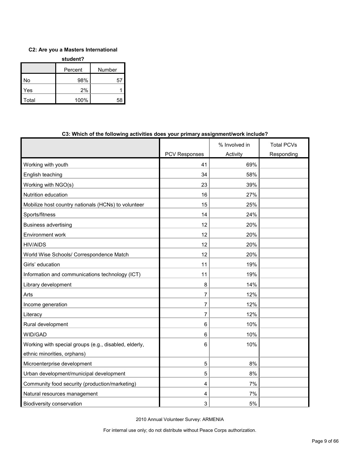#### **C2: Are you a Masters International**

| student? |         |        |  |  |
|----------|---------|--------|--|--|
|          | Percent | Number |  |  |
| No       | 98%     | 57     |  |  |
| Yes      | 2%      |        |  |  |
| Total    | 100%    | 58     |  |  |

|                                                       |                      | % Involved in | <b>Total PCVs</b> |
|-------------------------------------------------------|----------------------|---------------|-------------------|
|                                                       | <b>PCV Responses</b> | Activity      | Responding        |
| Working with youth                                    | 41                   | 69%           |                   |
| English teaching                                      | 34                   | 58%           |                   |
| Working with NGO(s)                                   | 23                   | 39%           |                   |
| Nutrition education                                   | 16                   | 27%           |                   |
| Mobilize host country nationals (HCNs) to volunteer   | 15                   | 25%           |                   |
| Sports/fitness                                        | 14                   | 24%           |                   |
| <b>Business advertising</b>                           | 12                   | 20%           |                   |
| Environment work                                      | 12                   | 20%           |                   |
| <b>HIV/AIDS</b>                                       | 12                   | 20%           |                   |
| World Wise Schools/ Correspondence Match              | 12                   | 20%           |                   |
| Girls' education                                      | 11                   | 19%           |                   |
| Information and communications technology (ICT)       | 11                   | 19%           |                   |
| Library development                                   | 8                    | 14%           |                   |
| Arts                                                  | 7                    | 12%           |                   |
| Income generation                                     | 7                    | 12%           |                   |
| Literacy                                              | 7                    | 12%           |                   |
| Rural development                                     | 6                    | 10%           |                   |
| WID/GAD                                               | 6                    | 10%           |                   |
| Working with special groups (e.g., disabled, elderly, | 6                    | 10%           |                   |
| ethnic minorities, orphans)                           |                      |               |                   |
| Microenterprise development                           | 5                    | 8%            |                   |
| Urban development/municipal development               | 5                    | 8%            |                   |
| Community food security (production/marketing)        | 4                    | 7%            |                   |
| Natural resources management                          | 4                    | 7%            |                   |
| Biodiversity conservation                             | 3                    | 5%            |                   |

#### **C3: Which of the following activities does your primary assignment/work include?**

2010 Annual Volunteer Survey: ARMENIA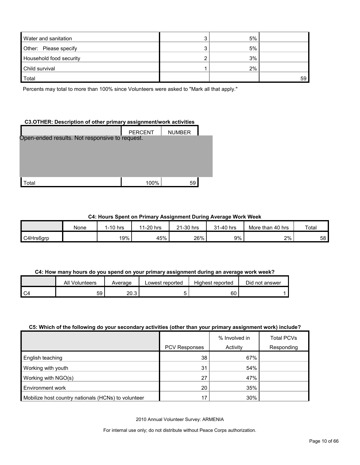| Water and sanitation    | 5% |    |
|-------------------------|----|----|
| Other: Please specify   | 5% |    |
| Household food security | 3% |    |
| Child survival          | 2% |    |
| Total                   |    | 59 |

Percents may total to more than 100% since Volunteers were asked to "Mark all that apply."

#### **C3.OTHER: Description of other primary assignment/work activities**

|                                                | <b>PERCENT</b> | <b>NUMBER</b> |  |
|------------------------------------------------|----------------|---------------|--|
| Open-ended results. Not responsive to request. |                |               |  |
|                                                |                |               |  |
|                                                |                |               |  |
|                                                |                |               |  |
| ʻotal                                          | 100%           | 59            |  |

#### **C4: Hours Spent on Primary Assignment During Average Work Week**

|           | None | 1-10 hrs | 1-20 hrs<br>44 | 21-30 hrs | 31-40 hrs | 40 hrs<br>More than | Total |
|-----------|------|----------|----------------|-----------|-----------|---------------------|-------|
| C4Hrs6grp |      | 19%      | 45%            | 26%       | 9%        | 2%                  | 58    |

#### **C4: How many hours do you spend on your primary assignment during an average work week?**

| All Volunteers | Average | Lowest reported | Highest reported | Did not answer |
|----------------|---------|-----------------|------------------|----------------|
| 59             | 20.3    |                 | 60               |                |

#### **C5: Which of the following do your secondary activities (other than your primary assignment work) include?**

|                                                     |                      | % Involved in | <b>Total PCVs</b> |
|-----------------------------------------------------|----------------------|---------------|-------------------|
|                                                     | <b>PCV Responses</b> | Activity      | Responding        |
| <b>English teaching</b>                             | 38                   | 67%           |                   |
| Working with youth                                  | 31                   | 54%           |                   |
| Working with NGO(s)                                 | 27                   | 47%           |                   |
| Environment work                                    | 20                   | 35%           |                   |
| Mobilize host country nationals (HCNs) to volunteer | 17                   | 30%           |                   |

2010 Annual Volunteer Survey: ARMENIA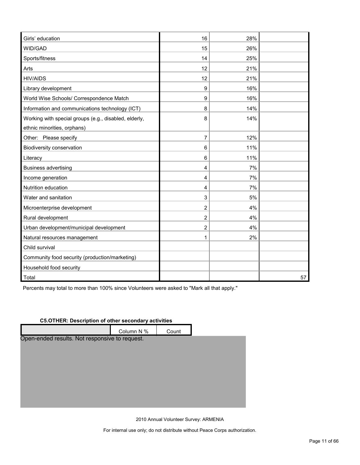| Girls' education                                      | 16             | 28% |    |
|-------------------------------------------------------|----------------|-----|----|
| WID/GAD                                               | 15             | 26% |    |
| Sports/fitness                                        | 14             | 25% |    |
| Arts                                                  | 12             | 21% |    |
| <b>HIV/AIDS</b>                                       | 12             | 21% |    |
| Library development                                   | 9              | 16% |    |
| World Wise Schools/ Correspondence Match              | 9              | 16% |    |
| Information and communications technology (ICT)       | 8              | 14% |    |
| Working with special groups (e.g., disabled, elderly, | 8              | 14% |    |
| ethnic minorities, orphans)                           |                |     |    |
| Other: Please specify                                 | $\overline{7}$ | 12% |    |
| <b>Biodiversity conservation</b>                      | 6              | 11% |    |
| Literacy                                              | 6              | 11% |    |
| <b>Business advertising</b>                           | 4              | 7%  |    |
| Income generation                                     | 4              | 7%  |    |
| Nutrition education                                   | 4              | 7%  |    |
| Water and sanitation                                  | 3              | 5%  |    |
| Microenterprise development                           | $\overline{2}$ | 4%  |    |
| Rural development                                     | $\overline{2}$ | 4%  |    |
| Urban development/municipal development               | $\overline{2}$ | 4%  |    |
| Natural resources management                          | 1              | 2%  |    |
| Child survival                                        |                |     |    |
| Community food security (production/marketing)        |                |     |    |
| Household food security                               |                |     |    |
| Total<br>I                                            |                |     | 57 |

Percents may total to more than 100% since Volunteers were asked to "Mark all that apply."

#### **C5.OTHER: Description of other secondary activities**

|                                                | Column N % | Count |  |
|------------------------------------------------|------------|-------|--|
| Open-ended results. Not responsive to request. |            |       |  |
|                                                |            |       |  |
|                                                |            |       |  |
|                                                |            |       |  |
|                                                |            |       |  |
|                                                |            |       |  |
|                                                |            |       |  |
|                                                |            |       |  |

2010 Annual Volunteer Survey: ARMENIA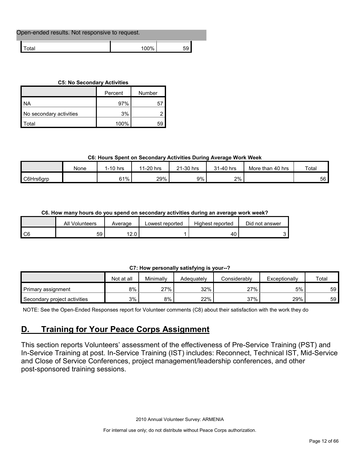| Open-ended results. Not responsive to request. |      |  |  |  |
|------------------------------------------------|------|--|--|--|
| ™otal                                          | 100% |  |  |  |

#### **C5: No Secondary Activities**

|                         | Percent | Number |
|-------------------------|---------|--------|
| I NA                    | 97%     | G      |
| No secondary activities | 3%      |        |
| `otal                   | 100%    | 59     |

#### **C6: Hours Spent on Secondary Activities During Average Work Week**

|           | None | l-10 hrs | 1-20 hrs<br>44 | 21-30 hrs | 31-40 hrs | More than 40 hrs | Total |
|-----------|------|----------|----------------|-----------|-----------|------------------|-------|
| C6Hrs6grp |      | 61%      | 29%            | 9%        | 2%        |                  | 56    |

#### **C6. How many hours do you spend on secondary activities during an average work week?**

|    | All Volunteers | Average        | Lowest reported | Highest reported | Did not answer |
|----|----------------|----------------|-----------------|------------------|----------------|
| C6 | 59 I           | 10 O<br>. 4. U |                 |                  |                |

#### **C7: How personally satisfying is your--?**

| -<br>-----------<br>-----<br>. |            |           |            |              |               |       |  |  |
|--------------------------------|------------|-----------|------------|--------------|---------------|-------|--|--|
|                                | Not at all | Minimally | Adeauatelv | Considerably | Exceptionally | Total |  |  |
| Primary assignment             | 8%         | 27%       | 32%        | 27%          | 5%            | 59    |  |  |
| Secondary project activities   | 3%         | 8%        | 22%        | 37%          | 29%           | 59    |  |  |

NOTE: See the Open-Ended Responses report for Volunteer comments (C8) about their satisfaction with the work they do

## <span id="page-11-0"></span>**D. Training for Your Peace Corps Assignment**

This section reports Volunteers' assessment of the effectiveness of Pre-Service Training (PST) and In-Service Training at post. In-Service Training (IST) includes: Reconnect, Technical IST, Mid-Service and Close of Service Conferences, project management/leadership conferences, and other post-sponsored training sessions.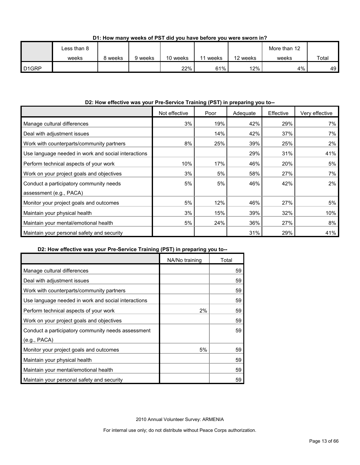|                    | Less than 8 |         |         |          |       |          | More than 12 |             |
|--------------------|-------------|---------|---------|----------|-------|----------|--------------|-------------|
|                    | weeks       | 8 weeks | 9 weeks | 10 weeks | weeks | 12 weeks | weeks        | Total       |
| D <sub>1</sub> GRP |             |         |         | 22%      | 61%   | 12%      | 4%           | 49 <b>F</b> |

#### **D1: How many weeks of PST did you have before you were sworn in?**

#### **D2: How effective was your Pre-Service Training (PST) in preparing you to--**

|                                                     | Not effective | Poor | Adequate | Effective | Very effective |
|-----------------------------------------------------|---------------|------|----------|-----------|----------------|
| Manage cultural differences                         | 3%            | 19%  | 42%      | 29%       | 7%             |
| Deal with adjustment issues                         |               | 14%  | 42%      | 37%       | 7%             |
| Work with counterparts/community partners           | 8%            | 25%  | 39%      | 25%       | $2\%$          |
| Use language needed in work and social interactions |               |      | 29%      | 31%       | 41%            |
| Perform technical aspects of your work              | 10%           | 17%  | 46%      | 20%       | 5%             |
| Work on your project goals and objectives           | 3%            | 5%   | 58%      | 27%       | 7%             |
| Conduct a participatory community needs             | 5%            | 5%   | 46%      | 42%       | $2\%$          |
| assessment (e.g., PACA)                             |               |      |          |           |                |
| Monitor your project goals and outcomes             | 5%            | 12%  | 46%      | 27%       | 5%             |
| Maintain your physical health                       | 3%            | 15%  | 39%      | 32%       | 10%            |
| Maintain your mental/emotional health               | 5%            | 24%  | 36%      | 27%       | 8%             |
| Maintain your personal safety and security          |               |      | 31%      | 29%       | 41%            |

#### **D2: How effective was your Pre-Service Training (PST) in preparing you to--**

|                                                     | NA/No training | Total |
|-----------------------------------------------------|----------------|-------|
| Manage cultural differences                         |                | 59    |
| Deal with adjustment issues                         |                | 59    |
| Work with counterparts/community partners           |                | 59    |
| Use language needed in work and social interactions |                | 59    |
| Perform technical aspects of your work              | $2\%$          | 59    |
| Work on your project goals and objectives           |                | 59    |
| Conduct a participatory community needs assessment  |                | 59    |
| (e.g., PACA)                                        |                |       |
| Monitor your project goals and outcomes             | 5%             | 59    |
| Maintain your physical health                       |                | 59    |
| Maintain your mental/emotional health               |                | 59    |
| Maintain your personal safety and security          |                | 59    |

2010 Annual Volunteer Survey: ARMENIA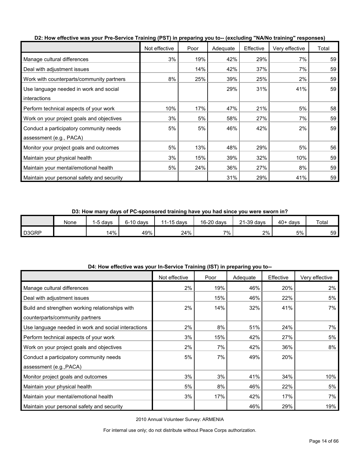|                                            | Not effective | Poor | Adequate | Effective | Very effective | Total |
|--------------------------------------------|---------------|------|----------|-----------|----------------|-------|
| Manage cultural differences                | 3%            | 19%  | 42%      | 29%       | 7%             | 59    |
| Deal with adjustment issues                |               | 14%  | 42%      | 37%       | 7%             | 59    |
| Work with counterparts/community partners  | 8%            | 25%  | 39%      | 25%       | 2%             | 59    |
| Use language needed in work and social     |               |      | 29%      | 31%       | 41%            | 59    |
| interactions                               |               |      |          |           |                |       |
| Perform technical aspects of your work     | 10%           | 17%  | 47%      | 21%       | 5%             | 58    |
| Work on your project goals and objectives  | 3%            | 5%   | 58%      | 27%       | 7%             | 59    |
| Conduct a participatory community needs    | 5%            | 5%   | 46%      | 42%       | 2%             | 59    |
| assessment (e.g., PACA)                    |               |      |          |           |                |       |
| Monitor your project goals and outcomes    | 5%            | 13%  | 48%      | 29%       | 5%             | 56    |
| Maintain your physical health              | 3%            | 15%  | 39%      | 32%       | 10%            | 59    |
| Maintain your mental/emotional health      | 5%            | 24%  | 36%      | 27%       | 8%             | 59    |
| Maintain your personal safety and security |               |      | 31%      | 29%       | 41%            | 59    |

**D2: How effective was your Pre-Service Training (PST) in preparing you to-- (excluding "NA/No training" responses)**

**D3: How many days of PC-sponsored training have you had since you were sworn in?**

|       | None | -5 davs | $6-10$ davs | $1-15$ davs<br>44 | 16-20 days | 21-39 days | $40+$ days | Total |
|-------|------|---------|-------------|-------------------|------------|------------|------------|-------|
| D3GRP |      | ا4%     | 49%         | 24%               | 7%.        | 2%         | 5%         | 59    |

| D4: How effective was your In-Service Training (IST) in preparing you to-- |  |
|----------------------------------------------------------------------------|--|
|----------------------------------------------------------------------------|--|

|                                                     | Not effective | Poor | Adequate | Effective | Very effective |
|-----------------------------------------------------|---------------|------|----------|-----------|----------------|
| Manage cultural differences                         | 2%            | 19%  | 46%      | 20%       | 2%             |
| Deal with adjustment issues                         |               | 15%  | 46%      | 22%       | 5%             |
| Build and strengthen working relationships with     | 2%            | 14%  | 32%      | 41%       | 7%             |
| counterparts/community partners                     |               |      |          |           |                |
| Use language needed in work and social interactions | 2%            | 8%   | 51%      | 24%       | 7%             |
| Perform technical aspects of your work              | 3%            | 15%  | 42%      | 27%       | 5%             |
| Work on your project goals and objectives           | 2%            | 7%   | 42%      | 36%       | 8%             |
| Conduct a participatory community needs             | 5%            | 7%   | 49%      | 20%       |                |
| assessment (e.g., PACA)                             |               |      |          |           |                |
| Monitor project goals and outcomes                  | 3%            | 3%   | 41%      | 34%       | 10%            |
| Maintain your physical health                       | 5%            | 8%   | 46%      | 22%       | 5%             |
| Maintain your mental/emotional health               | 3%            | 17%  | 42%      | 17%       | 7%             |
| Maintain your personal safety and security          |               |      | 46%      | 29%       | 19%            |

2010 Annual Volunteer Survey: ARMENIA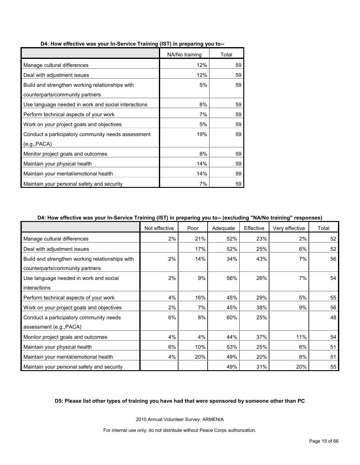|                                                     | NA/No training | Total |
|-----------------------------------------------------|----------------|-------|
| Manage cultural differences                         | 12%            | 59    |
| Deal with adjustment issues                         | 12%            | 59    |
| Build and strengthen working relationships with     | 5%             | 59    |
| counterparts/community partners                     |                |       |
| Use language needed in work and social interactions | 8%             | 59    |
| Perform technical aspects of your work              | 7%             | 59    |
| Work on your project goals and objectives           | 5%             | 59    |
| Conduct a participatory community needs assessment  | 19%            | 59    |
| (e.g., PACA)                                        |                |       |
| Monitor project goals and outcomes                  | 8%             | 59    |
| Maintain your physical health                       | 14%            | 59    |
| Maintain your mental/emotional health               | 14%            | 59    |
| Maintain your personal safety and security          | 7%             | 59    |

#### **D4: How effective was your In-Service Training (IST) in preparing you to--**

#### **D4: How effective was your In-Service Training (IST) in preparing you to-- (excluding "NA/No training" responses)**

|                                                 | Not effective | Poor | Adequate | Effective | Very effective | Total |
|-------------------------------------------------|---------------|------|----------|-----------|----------------|-------|
| Manage cultural differences                     | 2%            | 21%  | 52%      | 23%       | 2%             | 52    |
| Deal with adjustment issues                     |               | 17%  | 52%      | 25%       | 6%             | 52    |
| Build and strengthen working relationships with | 2%            | 14%  | 34%      | 43%       | 7%             | 56    |
| counterparts/community partners                 |               |      |          |           |                |       |
| Use language needed in work and social          | 2%            | 9%   | 56%      | 26%       | 7%             | 54    |
| <i>interactions</i>                             |               |      |          |           |                |       |
| Perform technical aspects of your work          | 4%            | 16%  | 45%      | 29%       | 5%             | 55    |
| Work on your project goals and objectives       | 2%            | 7%   | 45%      | 38%       | 9%             | 56    |
| Conduct a participatory community needs         | 6%            | 8%   | 60%      | 25%       |                | 48    |
| assessment (e.g., PACA)                         |               |      |          |           |                |       |
| Monitor project goals and outcomes              | 4%            | 4%   | 44%      | 37%       | 11%            | 54    |
| Maintain your physical health                   | 6%            | 10%  | 53%      | 25%       | 6%             | 51    |
| Maintain your mental/emotional health           | 4%            | 20%  | 49%      | 20%       | 8%             | 51    |
| Maintain your personal safety and security      |               |      | 49%      | 31%       | 20%            | 55    |

#### **D5: Please list other types of training you have had that were sponsored by someone other than PC**

2010 Annual Volunteer Survey: ARMENIA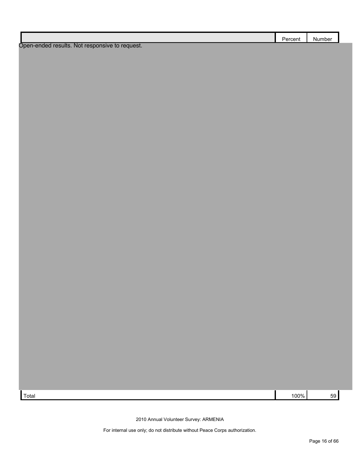|                                                | Percent | Number |
|------------------------------------------------|---------|--------|
| Open-ended results. Not responsive to request. |         |        |

 $\lceil \text{Total} \rceil$  100%  $\lceil \text{59} \rceil$  59

2010 Annual Volunteer Survey: ARMENIA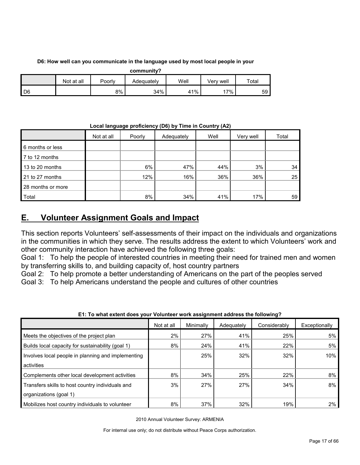#### **D6: How well can you communicate in the language used by most local people in your**

| community? |            |        |            |      |           |       |  |
|------------|------------|--------|------------|------|-----------|-------|--|
|            | Not at all | Poorly | Adequately | Well | Verv well | Total |  |
| D6         |            | 8%     | 34%        | 41%  | $7\%$ .   | 59    |  |

**Local language proficiency (D6) by Time in Country (A2)**

|                   | Not at all | Poorly | Adequately | Well | Very well | Total |
|-------------------|------------|--------|------------|------|-----------|-------|
| 6 months or less  |            |        |            |      |           |       |
| 7 to 12 months    |            |        |            |      |           |       |
| 13 to 20 months   |            | 6%     | 47%        | 44%  | 3%        | 34    |
| 21 to 27 months   |            | 12%    | 16%        | 36%  | 36%       | 25    |
| 28 months or more |            |        |            |      |           |       |
| Total             |            | 8%     | 34%        | 41%  | 17%       | 59    |

## <span id="page-16-0"></span>**E. Volunteer Assignment Goals and Impact**

This section reports Volunteers' self-assessments of their impact on the individuals and organizations in the communities in which they serve. The results address the extent to which Volunteers' work and other community interaction have achieved the following three goals:

Goal 1: To help the people of interested countries in meeting their need for trained men and women by transferring skills to, and building capacity of, host country partners

Goal 2: To help promote a better understanding of Americans on the part of the peoples served

Goal 3: To help Americans understand the people and cultures of other countries

|                                                    | Not at all | Minimally | Adequately | Considerably | Exceptionally |
|----------------------------------------------------|------------|-----------|------------|--------------|---------------|
| Meets the objectives of the project plan           | 2%         | 27%       | 41%        | 25%          | 5%            |
| Builds local capacity for sustainability (goal 1)  | 8%         | 24%       | 41%        | 22%          | 5%            |
| Involves local people in planning and implementing |            | 25%       | 32%        | 32%          | 10%           |
| activities                                         |            |           |            |              |               |
| Complements other local development activities     | 8%         | 34%       | 25%        | 22%          | 8%            |
| Transfers skills to host country individuals and   | 3%         | 27%       | 27%        | 34%          | 8%            |
| organizations (goal 1)                             |            |           |            |              |               |
| Mobilizes host country individuals to volunteer    | 8%         | 37%       | 32%        | 19%          | 2%            |

#### **E1: To what extent does your Volunteer work assignment address the following?**

2010 Annual Volunteer Survey: ARMENIA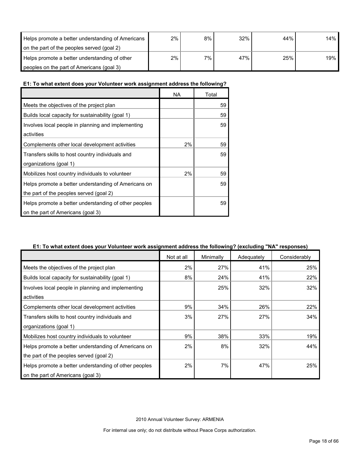| Helps promote a better understanding of Americans | 2% | 8% | 32% | 44% | 14% |
|---------------------------------------------------|----|----|-----|-----|-----|
| on the part of the peoples served (goal 2)        |    |    |     |     |     |
| Helps promote a better understanding of other     | 2% | 7% | 47% | 25% | 19% |
| peoples on the part of Americans (goal 3)         |    |    |     |     |     |

#### **E1: To what extent does your Volunteer work assignment address the following?**

|                                                       | <b>NA</b> | Total |
|-------------------------------------------------------|-----------|-------|
| Meets the objectives of the project plan              |           | 59    |
| Builds local capacity for sustainability (goal 1)     |           | 59    |
| Involves local people in planning and implementing    |           | 59    |
| activities                                            |           |       |
| Complements other local development activities        | 2%        | 59    |
| Transfers skills to host country individuals and      |           | 59    |
| organizations (goal 1)                                |           |       |
| Mobilizes host country individuals to volunteer       | 2%        | 59    |
| Helps promote a better understanding of Americans on  |           | 59    |
| the part of the peoples served (goal 2)               |           |       |
| Helps promote a better understanding of other peoples |           | 59    |
| on the part of Americans (goal 3)                     |           |       |

#### **E1: To what extent does your Volunteer work assignment address the following? (excluding "NA" responses)**

|                                                       | Not at all | Minimally | Adequately | Considerably |
|-------------------------------------------------------|------------|-----------|------------|--------------|
| Meets the objectives of the project plan              | 2%         | 27%       | 41%        | 25%          |
| Builds local capacity for sustainability (goal 1)     | 8%         | 24%       | 41%        | 22%          |
| Involves local people in planning and implementing    |            | 25%       | 32%        | 32%          |
| activities                                            |            |           |            |              |
| Complements other local development activities        | 9%         | 34%       | 26%        | 22%          |
| Transfers skills to host country individuals and      | 3%         | 27%       | 27%        | 34%          |
| organizations (goal 1)                                |            |           |            |              |
| Mobilizes host country individuals to volunteer       | 9%         | 38%       | 33%        | 19%          |
| Helps promote a better understanding of Americans on  | 2%         | 8%        | 32%        | 44%          |
| the part of the peoples served (goal 2)               |            |           |            |              |
| Helps promote a better understanding of other peoples | 2%         | 7%        | 47%        | 25%          |
| on the part of Americans (goal 3)                     |            |           |            |              |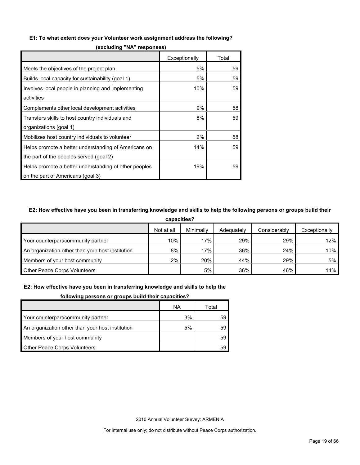#### **E1: To what extent does your Volunteer work assignment address the following?**

|                                                       | Exceptionally | Total |
|-------------------------------------------------------|---------------|-------|
| Meets the objectives of the project plan              | 5%            | 59    |
| Builds local capacity for sustainability (goal 1)     | 5%            | 59    |
| Involves local people in planning and implementing    | 10%           | 59    |
| activities                                            |               |       |
| Complements other local development activities        | 9%            | 58    |
| Transfers skills to host country individuals and      | 8%            | 59    |
| organizations (goal 1)                                |               |       |
| Mobilizes host country individuals to volunteer       | 2%            | 58    |
| Helps promote a better understanding of Americans on  | 14%           | 59    |
| the part of the peoples served (goal 2)               |               |       |
| Helps promote a better understanding of other peoples | 19%           | 59    |
| on the part of Americans (goal 3)                     |               |       |

**(excluding "NA" responses)**

#### **E2: How effective have you been in transferring knowledge and skills to help the following persons or groups build their**

| capacities?                                      |            |           |            |              |               |  |  |
|--------------------------------------------------|------------|-----------|------------|--------------|---------------|--|--|
|                                                  | Not at all | Minimally | Adequately | Considerably | Exceptionally |  |  |
| Your counterpart/community partner               | 10%        | 17%       | 29%        | 29%          | 12%           |  |  |
| An organization other than your host institution | 8%         | 17%       | 36%        | 24%          | 10%           |  |  |
| Members of your host community                   | 2%         | 20%       | 44%        | 29%          | 5%            |  |  |
| <b>Other Peace Corps Volunteers</b>              |            | 5%        | 36%        | 46%          | 14%           |  |  |

#### **E2: How effective have you been in transferring knowledge and skills to help the**

|  |  |  |  | following persons or groups build their capacities? |
|--|--|--|--|-----------------------------------------------------|
|--|--|--|--|-----------------------------------------------------|

|                                                  | ΝA | Total |
|--------------------------------------------------|----|-------|
| Your counterpart/community partner               | 3% | 59    |
| An organization other than your host institution | 5% | 59    |
| Members of your host community                   |    | 59    |
| <b>Other Peace Corps Volunteers</b>              |    | 59    |

2010 Annual Volunteer Survey: ARMENIA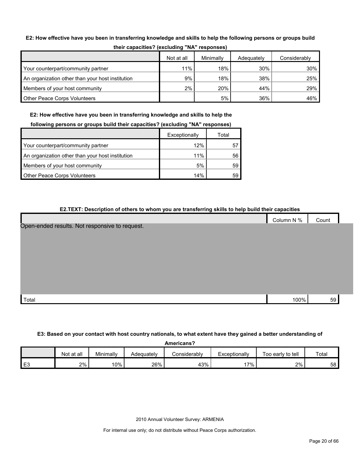#### **E2: How effective have you been in transferring knowledge and skills to help the following persons or groups build**

|                                                  | Not at all | Minimally | Adequately | Considerably |
|--------------------------------------------------|------------|-----------|------------|--------------|
| Your counterpart/community partner               | 11%        | 18%       | 30%        | 30%          |
| An organization other than your host institution | 9%         | 18%       | 38%        | 25%          |
| Members of your host community                   | 2%         | 20%       | 44%        | 29%          |
| <b>Other Peace Corps Volunteers</b>              |            | 5%        | 36%        | 46%          |

**E2: How effective have you been in transferring knowledge and skills to help the** 

| following persons or groups build their capacities? (excluding "NA" responses) |  |  |  |
|--------------------------------------------------------------------------------|--|--|--|
|                                                                                |  |  |  |

|                                                  | Exceptionally | Total |
|--------------------------------------------------|---------------|-------|
| Your counterpart/community partner               | 12%           |       |
| An organization other than your host institution | 11%           | 56    |
| Members of your host community                   | 5%            | 59    |
| <b>Other Peace Corps Volunteers</b>              | 14%           | 59    |

| E2.TEXT: Description of others to whom you are transferring skills to help build their capacities |            |       |
|---------------------------------------------------------------------------------------------------|------------|-------|
|                                                                                                   | Column N % | Count |
| Open-ended results. Not responsive to request.                                                    |            |       |
|                                                                                                   |            |       |
|                                                                                                   |            |       |
|                                                                                                   |            |       |
|                                                                                                   |            |       |
|                                                                                                   |            |       |
|                                                                                                   |            |       |
| Total                                                                                             | 100%       | 59    |

#### **E3: Based on your contact with host country nationals, to what extent have they gained a better understanding of**

**Americans?** Not at all Minimally Adequately Considerably Exceptionally Too early to tell Total E3 2% 10% 26% 43% 17% 2% 58

2010 Annual Volunteer Survey: ARMENIA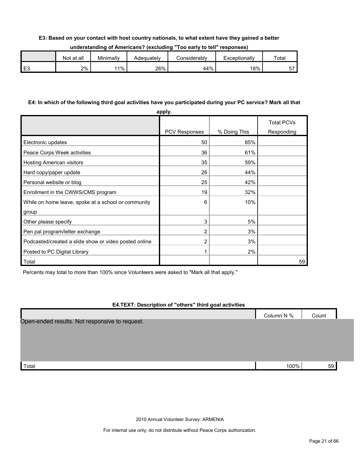#### **E3: Based on your contact with host country nationals, to what extent have they gained a better**

| understanding of Americans? (excluding "Too early to tell" responses) |  |  |
|-----------------------------------------------------------------------|--|--|
|-----------------------------------------------------------------------|--|--|

|         | Not at all | Minimally | Adequatelv | :onsiderablv | Exceptionally | Totai   |
|---------|------------|-----------|------------|--------------|---------------|---------|
| r.<br>└ | 2%         | $1\%$     | 26%        | 44%          | 18%           | --<br>ັ |

#### **E4: In which of the following third goal activities have you participated during your PC service? Mark all that**

|                                                       | apply.               |              |                                 |
|-------------------------------------------------------|----------------------|--------------|---------------------------------|
|                                                       | <b>PCV Responses</b> | % Doing This | <b>Total PCVs</b><br>Responding |
| Electronic updates                                    | 50                   | 85%          |                                 |
|                                                       | 36                   |              |                                 |
| Peace Corps Week activities                           |                      | 61%          |                                 |
| Hosting American visitors                             | 35                   | 59%          |                                 |
| Hard copy/paper update                                | 26                   | 44%          |                                 |
| Personal website or blog                              | 25                   | 42%          |                                 |
| Enrollment in the CWWS/CMS program                    | 19                   | 32%          |                                 |
| While on home leave, spoke at a school or community   | 6                    | 10%          |                                 |
| group                                                 |                      |              |                                 |
| Other please specify                                  | 3                    | 5%           |                                 |
| Pen pal program/letter exchange                       | 2                    | 3%           |                                 |
| Podcasted/created a slide show or video posted online | 2                    | 3%           |                                 |
| Posted to PC Digital Library                          | 1                    | 2%           |                                 |
| Total                                                 |                      |              | 59                              |

Percents may total to more than 100% since Volunteers were asked to "Mark all that apply."

#### **E4.TEXT: Description of "others" third goal activities**

|                                                | Column N % | Count |  |
|------------------------------------------------|------------|-------|--|
| Open-ended results. Not responsive to request. |            |       |  |
|                                                |            |       |  |
|                                                |            |       |  |
|                                                |            |       |  |
|                                                |            |       |  |
| Total                                          | 100%       | 59    |  |

2010 Annual Volunteer Survey: ARMENIA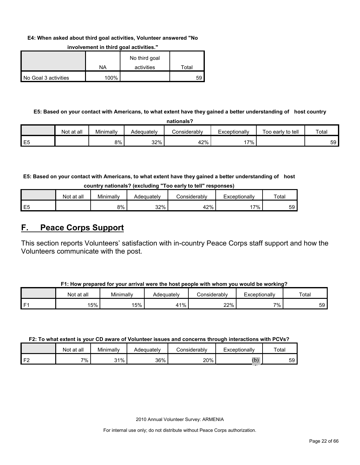#### **E4: When asked about third goal activities, Volunteer answered "No**

|                      |      | No third goal |       |
|----------------------|------|---------------|-------|
|                      | ΝA   | activities    | Total |
| No Goal 3 activities | 100% |               | 59    |

#### **involvement in third goal activities."**

#### **E5: Based on your contact with Americans, to what extent have they gained a better understanding of host country**

|                |            |           |            | nationals?   |               |                   |       |
|----------------|------------|-----------|------------|--------------|---------------|-------------------|-------|
|                | Not at all | Minimallv | Adequatelv | Considerably | Exceptionally | Too early to tell | Total |
| E <sub>5</sub> |            | 8%        | 32%        | 42%          | 7%            |                   | 59 I  |

**E5: Based on your contact with Americans, to what extent have they gained a better understanding of host** 

| country nationals? (excluding "Too early to tell" responses) |  |  |  |  |  |  |
|--------------------------------------------------------------|--|--|--|--|--|--|
|--------------------------------------------------------------|--|--|--|--|--|--|

|                | Not at all | Minimally | Adequately | こonsiderablv | Exceptionallv | $\tau$ <sub>otal</sub> |
|----------------|------------|-----------|------------|--------------|---------------|------------------------|
| E <sub>5</sub> |            | 8%        | 32%        | 42%          | $7\%$         | 59                     |

### <span id="page-21-0"></span>**F. Peace Corps Support**

This section reports Volunteers' satisfaction with in-country Peace Corps staff support and how the Volunteers communicate with the post.

|      | Not at all | Minimally | Adequately | Considerabl∨ | Exceptionallv | Total |
|------|------------|-----------|------------|--------------|---------------|-------|
| l F1 | 15%        | 15%       | $11\%$     | 22%          | 7%.           | 59 I  |

#### **F2: To what extent is your CD aware of Volunteer issues and concerns through interactions with PCVs?**

|                | Not at all | Minimally | Adequately | onsiderablyٽ | Exceptionally        | $\tau$ otar |
|----------------|------------|-----------|------------|--------------|----------------------|-------------|
| F <sub>2</sub> | 7%         | 31%       | 36%        | 20%          | <b>Section</b><br>ι∪ | 59          |

2010 Annual Volunteer Survey: ARMENIA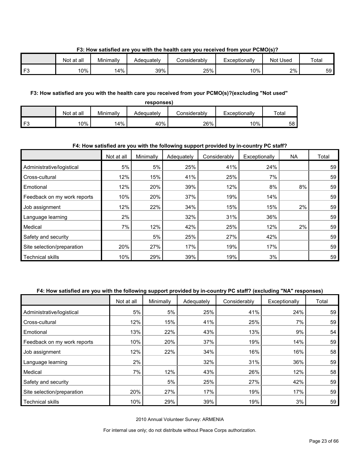#### **F3: How satisfied are you with the health care you received from your PCMO(s)?**

|          | Not at all | Minimally | Adequatelv | Considerablv | Exceptionally | Not Used | Total           |
|----------|------------|-----------|------------|--------------|---------------|----------|-----------------|
| $\Gamma$ | 10%        | 4%        | 39%        | 25%          | 10%           | 2%       | 59 <sup>°</sup> |

#### **F3: How satisfied are you with the health care you received from your PCMO(s)?(excluding "Not used"**

| responses) |           |            |                     |               |       |  |  |  |
|------------|-----------|------------|---------------------|---------------|-------|--|--|--|
| Not at all | Minimally | Adequately | <b>Considerably</b> | Exceptionally | Total |  |  |  |
| 10%        | 14%       | 40%        | 26%                 | 10%           | 58    |  |  |  |

#### **F4: How satisfied are you with the following support provided by in-country PC staff?**

|                             | Not at all | Minimally | Adequately | Considerably | Exceptionally | <b>NA</b> | Total |
|-----------------------------|------------|-----------|------------|--------------|---------------|-----------|-------|
| Administrative/logistical   | 5%         | 5%        | 25%        | 41%          | 24%           |           | 59    |
| Cross-cultural              | 12%        | 15%       | 41%        | 25%          | 7%            |           | 59    |
| Emotional                   | 12%        | 20%       | 39%        | 12%          | 8%            | 8%        | 59    |
| Feedback on my work reports | 10%        | 20%       | 37%        | 19%          | 14%           |           | 59    |
| Job assignment              | 12%        | 22%       | 34%        | 15%          | 15%           | 2%        | 59    |
| Language learning           | 2%         |           | 32%        | 31%          | 36%           |           | 59    |
| Medical                     | 7%         | 12%       | 42%        | 25%          | 12%           | 2%        | 59    |
| Safety and security         |            | 5%        | 25%        | 27%          | 42%           |           | 59    |
| Site selection/preparation  | 20%        | 27%       | 17%        | 19%          | 17%           |           | 59    |
| <b>Technical skills</b>     | 10%        | 29%       | 39%        | 19%          | 3%            |           | 59    |

#### **F4: How satisfied are you with the following support provided by in-country PC staff? (excluding "NA" responses)**

|                             | Not at all | Minimally | Adequately | Considerably | Exceptionally | Total |
|-----------------------------|------------|-----------|------------|--------------|---------------|-------|
| Administrative/logistical   | 5%         | 5%        | 25%        | 41%          | 24%           | 59    |
| Cross-cultural              | 12%        | 15%       | 41%        | 25%          | 7%            | 59    |
| Emotional                   | 13%        | 22%       | 43%        | 13%          | 9%            | 54    |
| Feedback on my work reports | 10%        | 20%       | 37%        | 19%          | 14%           | 59    |
| Job assignment              | 12%        | 22%       | 34%        | 16%          | 16%           | 58    |
| Language learning           | 2%         |           | 32%        | 31%          | 36%           | 59    |
| Medical                     | 7%         | 12%       | 43%        | 26%          | 12%           | 58    |
| Safety and security         |            | 5%        | 25%        | 27%          | 42%           | 59    |
| Site selection/preparation  | 20%        | 27%       | 17%        | 19%          | 17%           | 59    |
| <b>Technical skills</b>     | 10%        | 29%       | 39%        | 19%          | 3%            | 59    |

2010 Annual Volunteer Survey: ARMENIA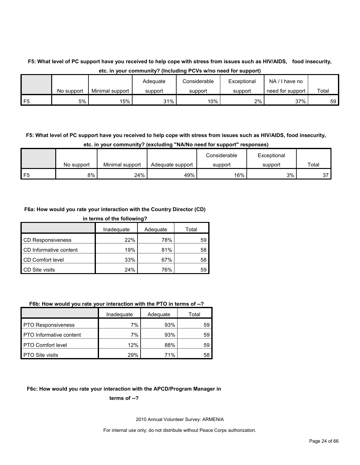### **F5: What level of PC support have you received to help cope with stress from issues such as HIV/AIDS, food insecurity, etc. in your community? (Including PCVs w/no need for support)**

|                |            |                 | Adequate | Considerable | Exceptional | NA<br>have no    |       |
|----------------|------------|-----------------|----------|--------------|-------------|------------------|-------|
|                | No support | Minimal support | support  | support      | support     | need for support | Total |
| F <sub>5</sub> | 5%         | 15%             | 31%      | 10%          | $2\%$       | 37%              | 59    |

### **F5: What level of PC support have you received to help cope with stress from issues such as HIV/AIDS, food insecurity, etc. in your community? (excluding "NA/No need for support" responses)**

|    |            |                 |                  | Considerable | Exceptional |       |
|----|------------|-----------------|------------------|--------------|-------------|-------|
|    | No support | Minimal support | Adequate support | support      | support     | Total |
| F5 | 8%         | 24%             | 49%              | 16%          | 3%          | 27    |

#### **F6a: How would you rate your interaction with the Country Director (CD)**

| in terms of the following? |            |          |       |  |  |  |  |
|----------------------------|------------|----------|-------|--|--|--|--|
|                            | Inadequate | Adequate | Total |  |  |  |  |
| <b>CD Responsiveness</b>   | 22%        | 78%      | 59    |  |  |  |  |
| CD Informative content     | 19%        | 81%      | 58    |  |  |  |  |
| CD Comfort level           | 33%        | 67%      | 58    |  |  |  |  |
| CD Site visits             | 24%        | 76%      | 59    |  |  |  |  |

#### **F6b: How would you rate your interaction with the PTO in terms of --?**

|                           | Inadequate | Adequate | Total |
|---------------------------|------------|----------|-------|
| <b>PTO Responsiveness</b> | 7%         | 93%      | 59    |
| PTO Informative content   | 7%         | 93%      | 59    |
| <b>PTO Comfort level</b>  | 12%        | 88%      | 59    |
| <b>PTO Site visits</b>    | 29%        | 71%      | 58    |

#### **F6c: How would you rate your interaction with the APCD/Program Manager in**

#### **terms of --?**

2010 Annual Volunteer Survey: ARMENIA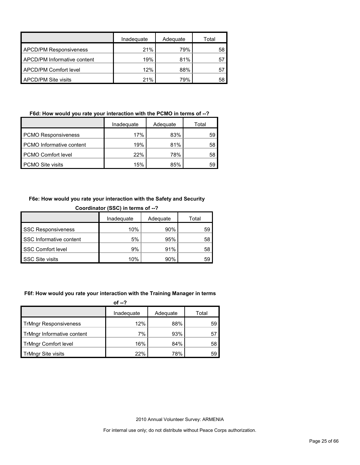|                               | Inadequate | Adequate | Total |
|-------------------------------|------------|----------|-------|
| <b>APCD/PM Responsiveness</b> | 21%        | 79%      | 58    |
| APCD/PM Informative content   | 19%        | 81%      | 57    |
| APCD/PM Comfort level         | 12%        | 88%      | 57    |
| <b>APCD/PM Site visits</b>    | 21%        | 79%      | 58    |

#### **F6d: How would you rate your interaction with the PCMO in terms of --?**

| Inadequate                      |     | Adequate | Total |
|---------------------------------|-----|----------|-------|
| <b>PCMO Responsiveness</b>      | 17% | 83%      | 59    |
| <b>PCMO</b> Informative content | 19% | 81%      | 58    |
| <b>PCMO Comfort level</b>       | 22% | 78%      | 58    |
| <b>PCMO Site visits</b>         | 15% | 85%      | 59    |

#### **F6e: How would you rate your interaction with the Safety and Security**

| Coordinator (SSC) in terms of --? |     |     |    |  |  |  |  |
|-----------------------------------|-----|-----|----|--|--|--|--|
| Inadequate<br>Adequate<br>Total   |     |     |    |  |  |  |  |
| <b>SSC Responsiveness</b>         | 10% | 90% | 59 |  |  |  |  |
| SSC Informative content           | 5%  | 95% | 58 |  |  |  |  |
| <b>SSC Comfort level</b>          | 9%  | 91% | 58 |  |  |  |  |
| <b>SSC Site visits</b>            | 10% | 90% | 59 |  |  |  |  |

#### **F6f: How would you rate your interaction with the Training Manager in terms**

| of $-2$                      |            |          |       |
|------------------------------|------------|----------|-------|
|                              | Inadequate | Adequate | Total |
| <b>TrMngr Responsiveness</b> | 12%        | 88%      | 59    |
| TrMngr Informative content   | 7%         | 93%      | 57    |
| <b>TrMngr Comfort level</b>  | 16%        | 84%      | 58    |
| <b>TrMngr Site visits</b>    | 22%        | 78%      | 59    |

2010 Annual Volunteer Survey: ARMENIA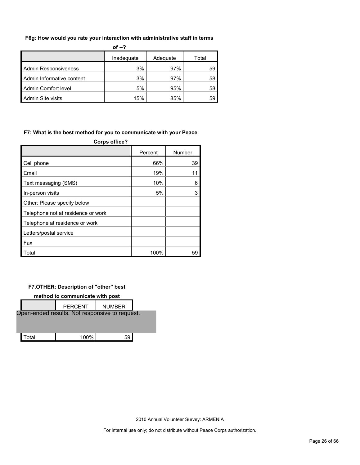#### **F6g: How would you rate your interaction with administrative staff in terms**

| of $-2$                         |     |     |    |  |
|---------------------------------|-----|-----|----|--|
| Inadequate<br>Adequate<br>Total |     |     |    |  |
| Admin Responsiveness            | 3%  | 97% | 59 |  |
| Admin Informative content       | 3%  | 97% | 58 |  |
| Admin Comfort level             | 5%  | 95% | 58 |  |
| Admin Site visits               | 15% | 85% | 59 |  |

#### **F7: What is the best method for you to communicate with your Peace**

| <b>Corps office?</b>               |         |        |  |  |  |  |
|------------------------------------|---------|--------|--|--|--|--|
|                                    | Percent | Number |  |  |  |  |
| Cell phone                         | 66%     | 39     |  |  |  |  |
| Email                              | 19%     | 11     |  |  |  |  |
| Text messaging (SMS)               | 10%     | 6      |  |  |  |  |
| In-person visits                   | 5%      | 3      |  |  |  |  |
| Other: Please specify below        |         |        |  |  |  |  |
| Telephone not at residence or work |         |        |  |  |  |  |
| Telephone at residence or work     |         |        |  |  |  |  |
| Letters/postal service             |         |        |  |  |  |  |
| Fax                                |         |        |  |  |  |  |
| Total                              | 100%    | 59     |  |  |  |  |

#### **F7.OTHER: Description of "other" best**

#### **method to communicate with post**

|       | <b>PERCENT</b>                                 | <b>NUMBER</b> |  |
|-------|------------------------------------------------|---------------|--|
|       | Open-ended results. Not responsive to request. |               |  |
|       |                                                |               |  |
| Total | 100%                                           | 59            |  |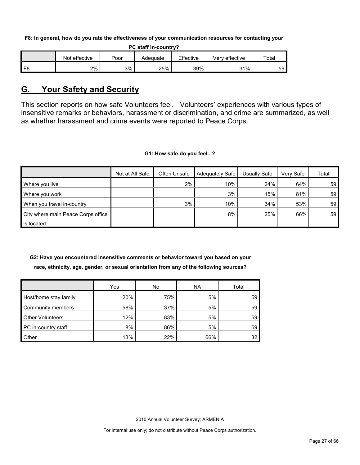**F8: In general, how do you rate the effectiveness of your communication resources for contacting your** 

| <b>PC staff in-country?</b> |               |      |          |           |                |             |
|-----------------------------|---------------|------|----------|-----------|----------------|-------------|
|                             | Not effective | Poor | Adequate | Effective | Very effective | $\tau$ otal |
| F8                          | 2%            | 3%   | 25%      | 39%       | 31%            | 59          |

### <span id="page-26-0"></span>**G. Your Safety and Security**

This section reports on how safe Volunteers feel. Volunteers' experiences with various types of insensitive remarks or behaviors, harassment or discrimination, and crime are summarized, as well as whether harassment and crime events were reported to Peace Corps.

#### **G1: How safe do you feel...?**

|                                    | Not at All Safe | Often Unsafe | Adequately Safe | Usually Safe | Very Safe | Total           |
|------------------------------------|-----------------|--------------|-----------------|--------------|-----------|-----------------|
| Where you live                     |                 | 2%           | 10%             | 24%          | 64%       | 59 <sup>°</sup> |
| Where you work                     |                 |              | 3%              | 15%          | 81%       | 59              |
| When you travel in-country         |                 | 3%           | 10%             | 34%          | 53%       | 59              |
| City where main Peace Corps office |                 |              | 8%              | 25%          | 66%       | 59              |
| is located                         |                 |              |                 |              |           |                 |

### **G2: Have you encountered insensitive comments or behavior toward you based on your race, ethnicity, age, gender, or sexual orientation from any of the following sources?**

|                         | Yes | No  | <b>NA</b> | Total |
|-------------------------|-----|-----|-----------|-------|
| Host/home stay family   | 20% | 75% | 5%        | 59    |
| Community members       | 58% | 37% | 5%        | 59    |
| <b>Other Volunteers</b> | 12% | 83% | 5%        | 59    |
| PC in-country staff     | 8%  | 86% | 5%        | 59    |
| Other                   | 13% | 22% | 66%       | 32    |

2010 Annual Volunteer Survey: ARMENIA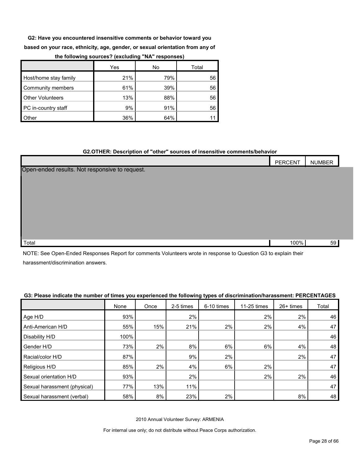**G2: Have you encountered insensitive comments or behavior toward you** 

**based on your race, ethnicity, age, gender, or sexual orientation from any of** 

|                         | Yes | No  | Total |
|-------------------------|-----|-----|-------|
| Host/home stay family   | 21% | 79% | 56    |
| Community members       | 61% | 39% | 56    |
| <b>Other Volunteers</b> | 13% | 88% | 56    |
| PC in-country staff     | 9%  | 91% | 56    |
| Other                   | 36% | 64% |       |

#### **the following sources? (excluding "NA" responses)**

#### **G2.OTHER: Description of "other" sources of insensitive comments/behavior**

|                                                | PERCENT | <b>NUMBER</b> |
|------------------------------------------------|---------|---------------|
| Open-ended results. Not responsive to request. |         |               |
|                                                |         |               |
|                                                |         |               |
|                                                |         |               |
|                                                |         |               |
|                                                |         |               |
|                                                |         |               |
| Total                                          | 100%    | 59            |

NOTE: See Open-Ended Responses Report for comments Volunteers wrote in response to Question G3 to explain their harassment/discrimination answers.

#### **G3: Please indicate the number of times you experienced the following types of discrimination/harassment: PERCENTAGES**

|                              | None | Once | 2-5 times | 6-10 times | 11-25 times | 26+ times | Total |
|------------------------------|------|------|-----------|------------|-------------|-----------|-------|
| Age H/D                      | 93%  |      | 2%        |            | 2%          | 2%        | 46    |
| Anti-American H/D            | 55%  | 15%  | 21%       | 2%         | 2%          | 4%        | 47    |
| Disability H/D               | 100% |      |           |            |             |           | 46    |
| Gender H/D                   | 73%  | 2%   | 8%        | 6%         | 6%          | 4%        | 48    |
| Racial/color H/D             | 87%  |      | 9%        | 2%         |             | 2%        | 47    |
| Religious H/D                | 85%  | 2%   | 4%        | 6%         | 2%          |           | 47    |
| Sexual orientation H/D       | 93%  |      | 2%        |            | 2%          | 2%        | 46    |
| Sexual harassment (physical) | 77%  | 13%  | 11%       |            |             |           | 47    |
| Sexual harassment (verbal)   | 58%  | 8%   | 23%       | 2%         |             | 8%        | 48    |

2010 Annual Volunteer Survey: ARMENIA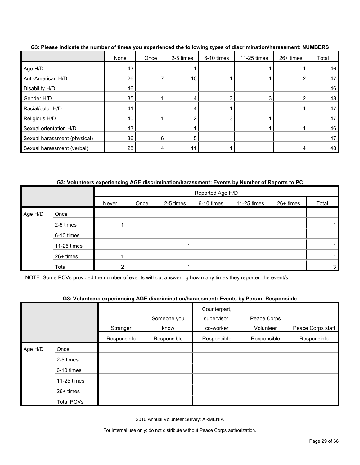|                              | None | Once | 2-5 times | 6-10 times | 11-25 times | 26+ times | Total |
|------------------------------|------|------|-----------|------------|-------------|-----------|-------|
| Age H/D                      | 43   |      |           |            |             |           | 46    |
| Anti-American H/D            | 26   |      | 10        |            |             | 2         | 47    |
| Disability H/D               | 46   |      |           |            |             |           | 46    |
| Gender H/D                   | 35   |      |           |            | 3           | ◠         | 48    |
| Racial/color H/D             | 41   |      |           |            |             |           | 47    |
| Religious H/D                | 40   |      |           |            |             |           | 47    |
| Sexual orientation H/D       | 43   |      |           |            |             |           | 46    |
| Sexual harassment (physical) | 36   | 6    | 5         |            |             |           | 47    |
| Sexual harassment (verbal)   | 28   |      |           |            |             | 4         | 48    |

**G3: Please indicate the number of times you experienced the following types of discrimination/harassment: NUMBERS**

**G3: Volunteers experiencing AGE discrimination/harassment: Events by Number of Reports to PC**

|         |             |       |      |           | Reported Age H/D |             |           |                |
|---------|-------------|-------|------|-----------|------------------|-------------|-----------|----------------|
|         |             | Never | Once | 2-5 times | 6-10 times       | 11-25 times | 26+ times | Total          |
| Age H/D | Once        |       |      |           |                  |             |           |                |
|         | 2-5 times   |       |      |           |                  |             |           |                |
|         | 6-10 times  |       |      |           |                  |             |           |                |
|         | 11-25 times |       |      |           |                  |             |           |                |
|         | 26+ times   |       |      |           |                  |             |           |                |
|         | Total       |       |      |           |                  |             |           | 3 <sub>l</sub> |

NOTE: Some PCVs provided the number of events without answering how many times they reported the event/s.

|         |                   |             | Someone you | Counterpart,<br>supervisor, | Peace Corps |                   |
|---------|-------------------|-------------|-------------|-----------------------------|-------------|-------------------|
|         |                   | Stranger    | know        | co-worker                   | Volunteer   | Peace Corps staff |
|         |                   | Responsible | Responsible | Responsible                 | Responsible | Responsible       |
| Age H/D | Once              |             |             |                             |             |                   |
|         | 2-5 times         |             |             |                             |             |                   |
|         | 6-10 times        |             |             |                             |             |                   |
|         | 11-25 times       |             |             |                             |             |                   |
|         | $26+$ times       |             |             |                             |             |                   |
|         | <b>Total PCVs</b> |             |             |                             |             |                   |

2010 Annual Volunteer Survey: ARMENIA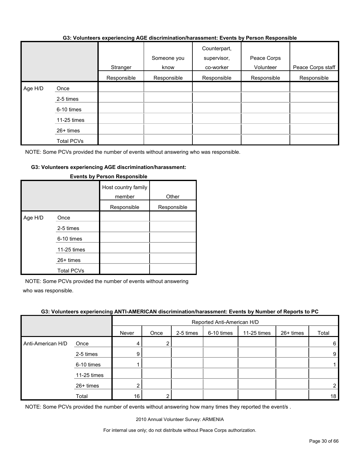#### **G3: Volunteers experiencing AGE discrimination/harassment: Events by Person Responsible**

|         |             | Stranger    | Someone you<br>know | Counterpart,<br>supervisor,<br>co-worker | Peace Corps<br>Volunteer | Peace Corps staff |
|---------|-------------|-------------|---------------------|------------------------------------------|--------------------------|-------------------|
|         |             | Responsible | Responsible         | Responsible                              | Responsible              | Responsible       |
| Age H/D | Once        |             |                     |                                          |                          |                   |
|         | 2-5 times   |             |                     |                                          |                          |                   |
|         | 6-10 times  |             |                     |                                          |                          |                   |
|         | 11-25 times |             |                     |                                          |                          |                   |
|         | $26+$ times |             |                     |                                          |                          |                   |
|         | Total PCVs  |             |                     |                                          |                          |                   |

NOTE: Some PCVs provided the number of events without answering who was responsible.

#### **G3: Volunteers experiencing AGE discrimination/harassment:**

|         |                   | Host country family<br>member | Other       |
|---------|-------------------|-------------------------------|-------------|
|         |                   | Responsible                   | Responsible |
| Age H/D | Once              |                               |             |
|         | 2-5 times         |                               |             |
|         | 6-10 times        |                               |             |
|         | 11-25 times       |                               |             |
|         | 26+ times         |                               |             |
|         | <b>Total PCVs</b> |                               |             |

#### **Events by Person Responsible**

NOTE: Some PCVs provided the number of events without answering

who was responsible.

#### **G3: Volunteers experiencing ANTI-AMERICAN discrimination/harassment: Events by Number of Reports to PC**

|                   |             | Reported Anti-American H/D |        |           |            |             |           |       |
|-------------------|-------------|----------------------------|--------|-----------|------------|-------------|-----------|-------|
|                   |             | Never                      | Once   | 2-5 times | 6-10 times | 11-25 times | 26+ times | Total |
| Anti-American H/D | Once        | 4                          | ◠<br>∠ |           |            |             |           | 6     |
|                   | 2-5 times   | 9                          |        |           |            |             |           | 9     |
|                   | 6-10 times  |                            |        |           |            |             |           |       |
|                   | 11-25 times |                            |        |           |            |             |           |       |
|                   | 26+ times   | ⌒                          |        |           |            |             |           |       |
|                   | Total       | 16                         |        |           |            |             |           | 18    |

NOTE: Some PCVs provided the number of events without answering how many times they reported the event/s.

2010 Annual Volunteer Survey: ARMENIA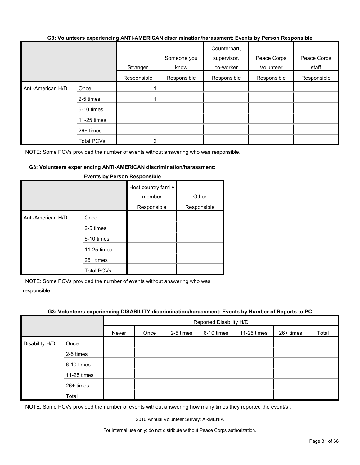#### **G3: Volunteers experiencing ANTI-AMERICAN discrimination/harassment: Events by Person Responsible**

|                   |                   | Stranger    | Someone you<br>know | Counterpart,<br>supervisor,<br>co-worker | Peace Corps<br>Volunteer | Peace Corps<br>staff |
|-------------------|-------------------|-------------|---------------------|------------------------------------------|--------------------------|----------------------|
|                   |                   | Responsible | Responsible         | Responsible                              | Responsible              | Responsible          |
| Anti-American H/D | Once              |             |                     |                                          |                          |                      |
|                   | 2-5 times         |             |                     |                                          |                          |                      |
|                   | 6-10 times        |             |                     |                                          |                          |                      |
|                   | 11-25 times       |             |                     |                                          |                          |                      |
|                   | 26+ times         |             |                     |                                          |                          |                      |
|                   | <b>Total PCVs</b> |             |                     |                                          |                          |                      |

NOTE: Some PCVs provided the number of events without answering who was responsible.

#### **G3: Volunteers experiencing ANTI-AMERICAN discrimination/harassment:**

|                   |                                                                                    | Host country family<br>member<br>Responsible | Other<br>Responsible |
|-------------------|------------------------------------------------------------------------------------|----------------------------------------------|----------------------|
| Anti-American H/D | Once<br>2-5 times<br>6-10 times<br>11-25 times<br>$26+$ times<br><b>Total PCVs</b> |                                              |                      |

#### **Events by Person Responsible**

NOTE: Some PCVs provided the number of events without answering who was responsible.

#### **G3: Volunteers experiencing DISABILITY discrimination/harassment: Events by Number of Reports to PC**

|                |             | Reported Disability H/D |      |           |            |             |           |       |  |
|----------------|-------------|-------------------------|------|-----------|------------|-------------|-----------|-------|--|
|                |             | Never                   | Once | 2-5 times | 6-10 times | 11-25 times | 26+ times | Total |  |
| Disability H/D | Once        |                         |      |           |            |             |           |       |  |
|                | 2-5 times   |                         |      |           |            |             |           |       |  |
|                | 6-10 times  |                         |      |           |            |             |           |       |  |
|                | 11-25 times |                         |      |           |            |             |           |       |  |
|                | 26+ times   |                         |      |           |            |             |           |       |  |
|                | Total       |                         |      |           |            |             |           |       |  |

NOTE: Some PCVs provided the number of events without answering how many times they reported the event/s .

2010 Annual Volunteer Survey: ARMENIA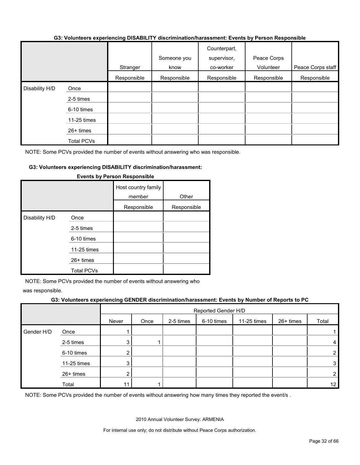#### **G3: Volunteers experiencing DISABILITY discrimination/harassment: Events by Person Responsible**

|                |                   | Stranger    | Someone you<br>know | Counterpart,<br>supervisor,<br>co-worker | Peace Corps<br>Volunteer | Peace Corps staff |
|----------------|-------------------|-------------|---------------------|------------------------------------------|--------------------------|-------------------|
|                |                   | Responsible | Responsible         | Responsible                              | Responsible              | Responsible       |
| Disability H/D | Once              |             |                     |                                          |                          |                   |
|                | 2-5 times         |             |                     |                                          |                          |                   |
|                | 6-10 times        |             |                     |                                          |                          |                   |
|                | 11-25 times       |             |                     |                                          |                          |                   |
|                | 26+ times         |             |                     |                                          |                          |                   |
|                | <b>Total PCVs</b> |             |                     |                                          |                          |                   |

NOTE: Some PCVs provided the number of events without answering who was responsible.

#### **G3: Volunteers experiencing DISABILITY discrimination/harassment:**

|                |                   | Host country family<br>member | Other       |
|----------------|-------------------|-------------------------------|-------------|
|                |                   | Responsible                   | Responsible |
| Disability H/D | Once              |                               |             |
|                | 2-5 times         |                               |             |
|                | 6-10 times        |                               |             |
|                | 11-25 times       |                               |             |
|                | 26+ times         |                               |             |
|                | <b>Total PCVs</b> |                               |             |

#### **Events by Person Responsible**

NOTE: Some PCVs provided the number of events without answering who

was responsible.

#### **G3: Volunteers experiencing GENDER discrimination/harassment: Events by Number of Reports to PC**

|            |             | Reported Gender H/D |      |           |            |             |           |                 |  |
|------------|-------------|---------------------|------|-----------|------------|-------------|-----------|-----------------|--|
|            |             | Never               | Once | 2-5 times | 6-10 times | 11-25 times | 26+ times | Total           |  |
| Gender H/D | Once        |                     |      |           |            |             |           |                 |  |
|            | 2-5 times   | ົ                   |      |           |            |             |           | 4               |  |
|            | 6-10 times  |                     |      |           |            |             |           | $\overline{2}$  |  |
|            | 11-25 times | າ                   |      |           |            |             |           | $\mathbf{3}$    |  |
|            | 26+ times   | ⌒                   |      |           |            |             |           | $\overline{2}$  |  |
|            | Total       | 11                  |      |           |            |             |           | 12 <sup>°</sup> |  |

NOTE: Some PCVs provided the number of events without answering how many times they reported the event/s.

2010 Annual Volunteer Survey: ARMENIA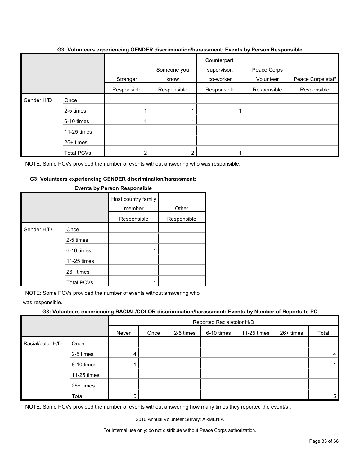|            |             | Stranger    | Someone you<br>know | Counterpart,<br>supervisor,<br>co-worker | Peace Corps<br>Volunteer | Peace Corps staff |
|------------|-------------|-------------|---------------------|------------------------------------------|--------------------------|-------------------|
|            |             | Responsible | Responsible         | Responsible                              | Responsible              | Responsible       |
| Gender H/D | Once        |             |                     |                                          |                          |                   |
|            | 2-5 times   |             |                     |                                          |                          |                   |
|            | 6-10 times  |             |                     |                                          |                          |                   |
|            | 11-25 times |             |                     |                                          |                          |                   |
|            | 26+ times   |             |                     |                                          |                          |                   |
|            | Total PCVs  |             |                     |                                          |                          |                   |

#### **G3: Volunteers experiencing GENDER discrimination/harassment: Events by Person Responsible**

NOTE: Some PCVs provided the number of events without answering who was responsible.

#### **G3: Volunteers experiencing GENDER discrimination/harassment:**

|            |                   | Host country family<br>member | Other       |  |
|------------|-------------------|-------------------------------|-------------|--|
|            |                   | Responsible                   | Responsible |  |
| Gender H/D | Once              |                               |             |  |
|            | 2-5 times         |                               |             |  |
|            | 6-10 times        | 1                             |             |  |
|            | 11-25 times       |                               |             |  |
|            | 26+ times         |                               |             |  |
|            | <b>Total PCVs</b> |                               |             |  |

#### **Events by Person Responsible**

NOTE: Some PCVs provided the number of events without answering who

was responsible.

#### **G3: Volunteers experiencing RACIAL/COLOR discrimination/harassment: Events by Number of Reports to PC**

|                  | Reported Racial/color H/D |       |      |           |            |             |           |       |
|------------------|---------------------------|-------|------|-----------|------------|-------------|-----------|-------|
|                  |                           | Never | Once | 2-5 times | 6-10 times | 11-25 times | 26+ times | Total |
| Racial/color H/D | Once                      |       |      |           |            |             |           |       |
|                  | 2-5 times                 | 4     |      |           |            |             |           | 4     |
|                  | 6-10 times                |       |      |           |            |             |           |       |
|                  | 11-25 times               |       |      |           |            |             |           |       |
|                  | 26+ times                 |       |      |           |            |             |           |       |
|                  | Total                     | 5     |      |           |            |             |           | 5     |

NOTE: Some PCVs provided the number of events without answering how many times they reported the event/s.

2010 Annual Volunteer Survey: ARMENIA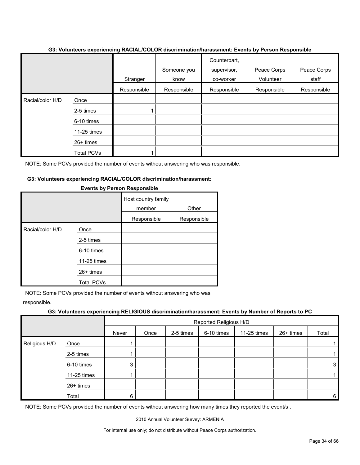|                  |             | Stranger    | Someone you<br>know | Counterpart,<br>supervisor,<br>co-worker | Peace Corps<br>Volunteer | Peace Corps<br>staff |
|------------------|-------------|-------------|---------------------|------------------------------------------|--------------------------|----------------------|
|                  |             | Responsible | Responsible         | Responsible                              | Responsible              | Responsible          |
| Racial/color H/D | Once        |             |                     |                                          |                          |                      |
|                  | 2-5 times   |             |                     |                                          |                          |                      |
|                  | 6-10 times  |             |                     |                                          |                          |                      |
|                  | 11-25 times |             |                     |                                          |                          |                      |
|                  | 26+ times   |             |                     |                                          |                          |                      |
|                  | Total PCVs  |             |                     |                                          |                          |                      |

NOTE: Some PCVs provided the number of events without answering who was responsible.

#### **G3: Volunteers experiencing RACIAL/COLOR discrimination/harassment:**

|                  |                   |             | Other       |  |
|------------------|-------------------|-------------|-------------|--|
|                  |                   | Responsible | Responsible |  |
| Racial/color H/D | Once              |             |             |  |
|                  | 2-5 times         |             |             |  |
|                  | 6-10 times        |             |             |  |
|                  | 11-25 times       |             |             |  |
|                  | $26+$ times       |             |             |  |
|                  | <b>Total PCVs</b> |             |             |  |

#### **Events by Person Responsible**

NOTE: Some PCVs provided the number of events without answering who was

responsible.

#### **G3: Volunteers experiencing RELIGIOUS discrimination/harassment: Events by Number of Reports to PC**

|               |             | Reported Religious H/D |      |           |            |             |           |       |  |
|---------------|-------------|------------------------|------|-----------|------------|-------------|-----------|-------|--|
|               |             | Never                  | Once | 2-5 times | 6-10 times | 11-25 times | 26+ times | Total |  |
| Religious H/D | Once        |                        |      |           |            |             |           |       |  |
|               | 2-5 times   |                        |      |           |            |             |           |       |  |
|               | 6-10 times  | 3                      |      |           |            |             |           | 3     |  |
|               | 11-25 times |                        |      |           |            |             |           |       |  |
|               | 26+ times   |                        |      |           |            |             |           |       |  |
|               | Total       | 6                      |      |           |            |             |           | 6     |  |

NOTE: Some PCVs provided the number of events without answering how many times they reported the event/s.

2010 Annual Volunteer Survey: ARMENIA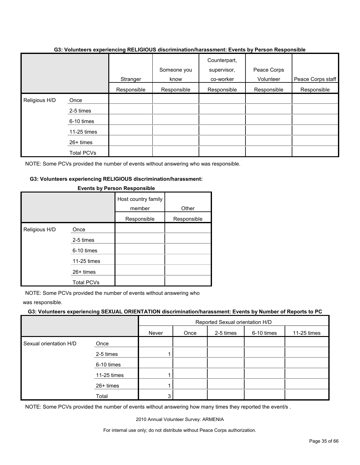|               |                   | Stranger    | Someone you<br>know | Counterpart,<br>supervisor,<br>co-worker | Peace Corps<br>Volunteer | Peace Corps staff |
|---------------|-------------------|-------------|---------------------|------------------------------------------|--------------------------|-------------------|
|               |                   | Responsible | Responsible         | Responsible                              | Responsible              | Responsible       |
| Religious H/D | Once              |             |                     |                                          |                          |                   |
|               | 2-5 times         |             |                     |                                          |                          |                   |
|               | 6-10 times        |             |                     |                                          |                          |                   |
|               | 11-25 times       |             |                     |                                          |                          |                   |
|               | 26+ times         |             |                     |                                          |                          |                   |
|               | <b>Total PCVs</b> |             |                     |                                          |                          |                   |

#### **G3: Volunteers experiencing RELIGIOUS discrimination/harassment: Events by Person Responsible**

NOTE: Some PCVs provided the number of events without answering who was responsible.

#### **G3: Volunteers experiencing RELIGIOUS discrimination/harassment:**

|               |                            | Host country family<br>member<br>Responsible | Other<br>Responsible |
|---------------|----------------------------|----------------------------------------------|----------------------|
| Religious H/D | Once<br>2-5 times          |                                              |                      |
|               | 6-10 times                 |                                              |                      |
|               | 11-25 times<br>$26+$ times |                                              |                      |
|               | <b>Total PCVs</b>          |                                              |                      |

#### **Events by Person Responsible**

NOTE: Some PCVs provided the number of events without answering who

was responsible.

#### **G3: Volunteers experiencing SEXUAL ORIENTATION discrimination/harassment: Events by Number of Reports to PC**

|                        |             | Reported Sexual orientation H/D          |  |  |             |  |  |
|------------------------|-------------|------------------------------------------|--|--|-------------|--|--|
|                        |             | 6-10 times<br>2-5 times<br>Never<br>Once |  |  | 11-25 times |  |  |
| Sexual orientation H/D | Once        |                                          |  |  |             |  |  |
|                        | 2-5 times   |                                          |  |  |             |  |  |
|                        | 6-10 times  |                                          |  |  |             |  |  |
|                        | 11-25 times |                                          |  |  |             |  |  |
|                        | 26+ times   |                                          |  |  |             |  |  |
|                        | Total       | 3                                        |  |  |             |  |  |

NOTE: Some PCVs provided the number of events without answering how many times they reported the event/s .

2010 Annual Volunteer Survey: ARMENIA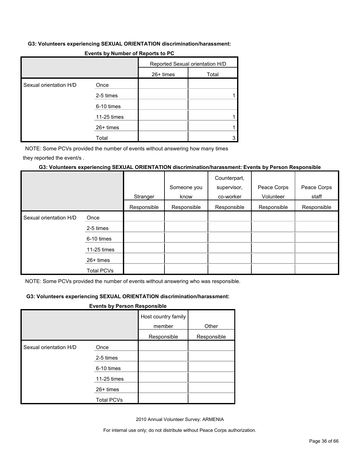#### **G3: Volunteers experiencing SEXUAL ORIENTATION discrimination/harassment:**

|                        |             | Reported Sexual orientation H/D |       |  |
|------------------------|-------------|---------------------------------|-------|--|
|                        |             | 26+ times                       | Total |  |
| Sexual orientation H/D | Once        |                                 |       |  |
|                        | 2-5 times   |                                 |       |  |
|                        | 6-10 times  |                                 |       |  |
|                        | 11-25 times |                                 |       |  |
|                        | 26+ times   |                                 |       |  |
|                        | Total       |                                 |       |  |

#### **Events by Number of Reports to PC**

NOTE: Some PCVs provided the number of events without answering how many times

they reported the event/s .

#### **G3: Volunteers experiencing SEXUAL ORIENTATION discrimination/harassment: Events by Person Responsible**

|                        |                   |             |             | Counterpart, |             |             |
|------------------------|-------------------|-------------|-------------|--------------|-------------|-------------|
|                        |                   |             | Someone you | supervisor,  | Peace Corps | Peace Corps |
|                        |                   | Stranger    | know        | co-worker    | Volunteer   | staff       |
|                        |                   | Responsible | Responsible | Responsible  | Responsible | Responsible |
| Sexual orientation H/D | Once              |             |             |              |             |             |
|                        | 2-5 times         |             |             |              |             |             |
|                        | 6-10 times        |             |             |              |             |             |
|                        | 11-25 times       |             |             |              |             |             |
|                        | 26+ times         |             |             |              |             |             |
|                        | <b>Total PCVs</b> |             |             |              |             |             |

NOTE: Some PCVs provided the number of events without answering who was responsible.

#### **G3: Volunteers experiencing SEXUAL ORIENTATION discrimination/harassment:**

#### **Events by Person Responsible**

|                        |                   | Host country family<br>member | Other       |
|------------------------|-------------------|-------------------------------|-------------|
|                        |                   | Responsible                   | Responsible |
| Sexual orientation H/D | Once              |                               |             |
|                        | 2-5 times         |                               |             |
|                        | 6-10 times        |                               |             |
|                        | 11-25 times       |                               |             |
|                        | $26+$ times       |                               |             |
|                        | <b>Total PCVs</b> |                               |             |

2010 Annual Volunteer Survey: ARMENIA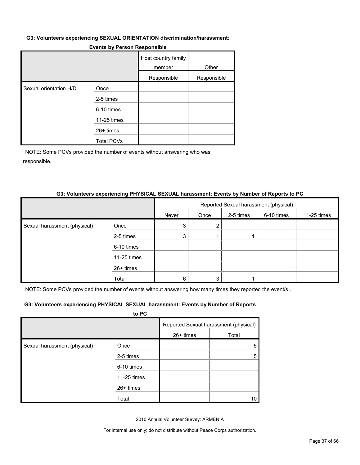#### **G3: Volunteers experiencing SEXUAL ORIENTATION discrimination/harassment:**

|  |  | <b>Events by Person Responsible</b> |
|--|--|-------------------------------------|
|--|--|-------------------------------------|

|                        |                   | Host country family<br>member | Other       |
|------------------------|-------------------|-------------------------------|-------------|
|                        |                   | Responsible                   | Responsible |
| Sexual orientation H/D | Once              |                               |             |
|                        | 2-5 times         |                               |             |
|                        | 6-10 times        |                               |             |
|                        | 11-25 times       |                               |             |
|                        | 26+ times         |                               |             |
|                        | <b>Total PCVs</b> |                               |             |

NOTE: Some PCVs provided the number of events without answering who was responsible.

#### **G3: Volunteers experiencing PHYSICAL SEXUAL harassment: Events by Number of Reports to PC**

|                              |             | Reported Sexual harassment (physical) |      |           |            |             |
|------------------------------|-------------|---------------------------------------|------|-----------|------------|-------------|
|                              |             | Never                                 | Once | 2-5 times | 6-10 times | 11-25 times |
| Sexual harassment (physical) | Once        |                                       |      |           |            |             |
|                              | 2-5 times   | 3                                     |      |           |            |             |
|                              | 6-10 times  |                                       |      |           |            |             |
|                              | 11-25 times |                                       |      |           |            |             |
|                              | 26+ times   |                                       |      |           |            |             |
|                              | Total       | 6                                     | 3    |           |            |             |

NOTE: Some PCVs provided the number of events without answering how many times they reported the event/s .

#### **G3: Volunteers experiencing PHYSICAL SEXUAL harassment: Events by Number of Reports**

|                              | to PC       |           |                                       |
|------------------------------|-------------|-----------|---------------------------------------|
|                              |             |           | Reported Sexual harassment (physical) |
|                              |             | 26+ times | Total                                 |
| Sexual harassment (physical) | Once        |           | 5                                     |
|                              | 2-5 times   |           | 5                                     |
|                              | 6-10 times  |           |                                       |
|                              | 11-25 times |           |                                       |
|                              | $26+$ times |           |                                       |
|                              | Total       |           | 10                                    |

2010 Annual Volunteer Survey: ARMENIA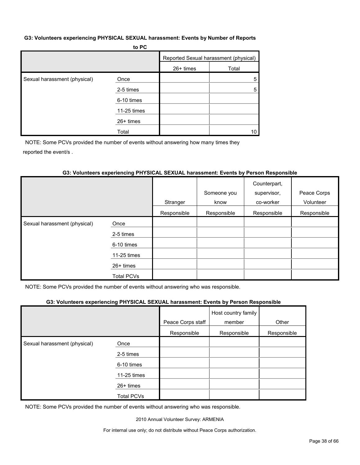#### **G3: Volunteers experiencing PHYSICAL SEXUAL harassment: Events by Number of Reports**

|                              | to PC       |           |                                       |
|------------------------------|-------------|-----------|---------------------------------------|
|                              |             |           | Reported Sexual harassment (physical) |
|                              |             | 26+ times | Total                                 |
| Sexual harassment (physical) | Once        |           | 5                                     |
|                              | 2-5 times   |           | 5                                     |
|                              | 6-10 times  |           |                                       |
|                              | 11-25 times |           |                                       |
|                              | 26+ times   |           |                                       |
|                              | Total       |           | 10                                    |

NOTE: Some PCVs provided the number of events without answering how many times they reported the event/s .

#### **G3: Volunteers experiencing PHYSICAL SEXUAL harassment: Events by Person Responsible**

|                              |                   |             |             | Counterpart, |             |
|------------------------------|-------------------|-------------|-------------|--------------|-------------|
|                              |                   |             | Someone you | supervisor,  | Peace Corps |
|                              |                   | Stranger    | know        | co-worker    | Volunteer   |
|                              |                   | Responsible | Responsible | Responsible  | Responsible |
| Sexual harassment (physical) | Once              |             |             |              |             |
|                              | 2-5 times         |             |             |              |             |
|                              | 6-10 times        |             |             |              |             |
|                              | 11-25 times       |             |             |              |             |
|                              | $26+$ times       |             |             |              |             |
|                              | <b>Total PCVs</b> |             |             |              |             |

NOTE: Some PCVs provided the number of events without answering who was responsible.

#### **G3: Volunteers experiencing PHYSICAL SEXUAL harassment: Events by Person Responsible**

|                              |                   | Peace Corps staff | Host country family<br>member | Other       |
|------------------------------|-------------------|-------------------|-------------------------------|-------------|
|                              |                   | Responsible       | Responsible                   | Responsible |
| Sexual harassment (physical) | Once              |                   |                               |             |
|                              | 2-5 times         |                   |                               |             |
|                              | 6-10 times        |                   |                               |             |
|                              | 11-25 times       |                   |                               |             |
|                              | $26+$ times       |                   |                               |             |
|                              | <b>Total PCVs</b> |                   |                               |             |

NOTE: Some PCVs provided the number of events without answering who was responsible.

2010 Annual Volunteer Survey: ARMENIA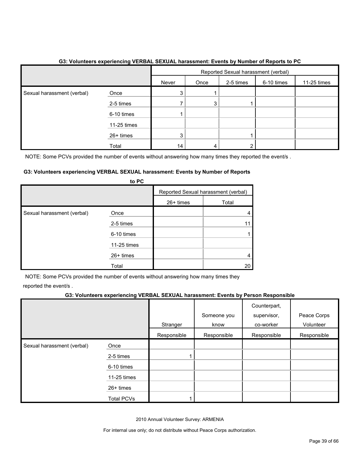|                            |             | Reported Sexual harassment (verbal) |      |           |            |             |
|----------------------------|-------------|-------------------------------------|------|-----------|------------|-------------|
|                            |             | Never                               | Once | 2-5 times | 6-10 times | 11-25 times |
| Sexual harassment (verbal) | Once        | 3                                   |      |           |            |             |
|                            | 2-5 times   |                                     |      |           |            |             |
|                            | 6-10 times  |                                     |      |           |            |             |
|                            | 11-25 times |                                     |      |           |            |             |
|                            | 26+ times   | 3                                   |      |           |            |             |
|                            | Total       | 14                                  |      |           |            |             |

#### **G3: Volunteers experiencing VERBAL SEXUAL harassment: Events by Number of Reports to PC**

NOTE: Some PCVs provided the number of events without answering how many times they reported the event/s.

#### **G3: Volunteers experiencing VERBAL SEXUAL harassment: Events by Number of Reports**

|                            | to PC       |           |                                     |
|----------------------------|-------------|-----------|-------------------------------------|
|                            |             |           | Reported Sexual harassment (verbal) |
|                            |             | 26+ times | Total                               |
| Sexual harassment (verbal) | Once        |           |                                     |
|                            | 2-5 times   |           |                                     |
|                            | 6-10 times  |           |                                     |
|                            | 11-25 times |           |                                     |
|                            | 26+ times   |           |                                     |
|                            | Total       |           | 20                                  |

NOTE: Some PCVs provided the number of events without answering how many times they reported the event/s .

#### **G3: Volunteers experiencing VERBAL SEXUAL harassment: Events by Person Responsible**

|                            |                   | Stranger    | Someone you<br>know | Counterpart,<br>supervisor,<br>co-worker | Peace Corps<br>Volunteer |
|----------------------------|-------------------|-------------|---------------------|------------------------------------------|--------------------------|
|                            |                   | Responsible | Responsible         | Responsible                              | Responsible              |
| Sexual harassment (verbal) | Once              |             |                     |                                          |                          |
|                            | 2-5 times         |             |                     |                                          |                          |
|                            | 6-10 times        |             |                     |                                          |                          |
|                            | 11-25 times       |             |                     |                                          |                          |
|                            | 26+ times         |             |                     |                                          |                          |
|                            | <b>Total PCVs</b> |             |                     |                                          |                          |

2010 Annual Volunteer Survey: ARMENIA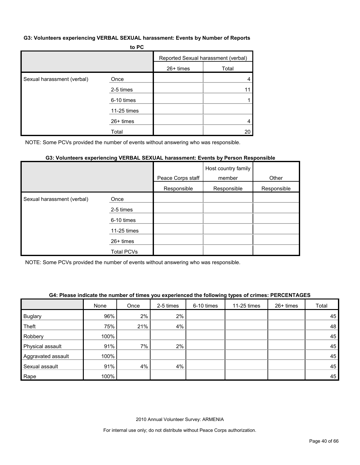#### **G3: Volunteers experiencing VERBAL SEXUAL harassment: Events by Number of Reports**

|                            | to PC       |             |                                     |
|----------------------------|-------------|-------------|-------------------------------------|
|                            |             |             | Reported Sexual harassment (verbal) |
|                            |             | $26+$ times | Total                               |
| Sexual harassment (verbal) | Once        |             |                                     |
|                            | 2-5 times   |             |                                     |
|                            | 6-10 times  |             |                                     |
|                            | 11-25 times |             |                                     |
|                            | 26+ times   |             |                                     |
|                            | Total       |             | 20                                  |

NOTE: Some PCVs provided the number of events without answering who was responsible.

#### **G3: Volunteers experiencing VERBAL SEXUAL harassment: Events by Person Responsible**

|                            |             | Peace Corps staff | Host country family<br>member | Other       |
|----------------------------|-------------|-------------------|-------------------------------|-------------|
|                            |             | Responsible       | Responsible                   | Responsible |
| Sexual harassment (verbal) | Once        |                   |                               |             |
|                            | 2-5 times   |                   |                               |             |
|                            | 6-10 times  |                   |                               |             |
|                            | 11-25 times |                   |                               |             |
|                            | 26+ times   |                   |                               |             |
|                            | Total PCVs  |                   |                               |             |

NOTE: Some PCVs provided the number of events without answering who was responsible.

#### **G4: Please indicate the number of times you experienced the following types of crimes: PERCENTAGES**

|                    | None | Once | 2-5 times | 6-10 times | 11-25 times | $26+$ times | Total |
|--------------------|------|------|-----------|------------|-------------|-------------|-------|
| <b>Buglary</b>     | 96%  | 2%   | $2\%$     |            |             |             | 45    |
| Theft              | 75%  | 21%  | 4%        |            |             |             | 48    |
| Robbery            | 100% |      |           |            |             |             | 45    |
| Physical assault   | 91%  | 7%   | 2%        |            |             |             | 45    |
| Aggravated assault | 100% |      |           |            |             |             | 45    |
| Sexual assault     | 91%  | 4%   | 4%        |            |             |             | 45    |
| Rape               | 100% |      |           |            |             |             | 45    |

2010 Annual Volunteer Survey: ARMENIA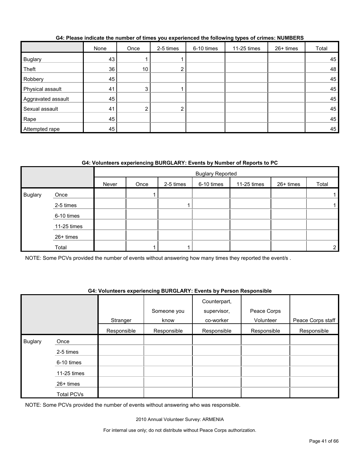|                    | None | Once | 2-5 times      | 6-10 times | 11-25 times | 26+ times | Total |
|--------------------|------|------|----------------|------------|-------------|-----------|-------|
| Buglary            | 43   |      |                |            |             |           | 45    |
| Theft              | 36   | 10   | $\overline{2}$ |            |             |           | 48    |
| Robbery            | 45   |      |                |            |             |           | 45    |
| Physical assault   | 41   | 3    |                |            |             |           | 45    |
| Aggravated assault | 45   |      |                |            |             |           | 45    |
| Sexual assault     | 41   | ົ    | າ<br><u>L</u>  |            |             |           | 45    |
| Rape               | 45   |      |                |            |             |           | 45    |
| Attempted rape     | 45   |      |                |            |             |           | 45    |

#### **G4: Please indicate the number of times you experienced the following types of crimes: NUMBERS**

#### **G4: Volunteers experiencing BURGLARY: Events by Number of Reports to PC**

|                |             |       | <b>Buglary Reported</b> |           |            |             |           |       |
|----------------|-------------|-------|-------------------------|-----------|------------|-------------|-----------|-------|
|                |             | Never | Once                    | 2-5 times | 6-10 times | 11-25 times | 26+ times | Total |
| <b>Buglary</b> | Once        |       |                         |           |            |             |           |       |
|                | 2-5 times   |       |                         |           |            |             |           |       |
|                | 6-10 times  |       |                         |           |            |             |           |       |
|                | 11-25 times |       |                         |           |            |             |           |       |
|                | 26+ times   |       |                         |           |            |             |           |       |
|                | Total       |       |                         |           |            |             |           | ◠     |

NOTE: Some PCVs provided the number of events without answering how many times they reported the event/s.

#### **G4: Volunteers experiencing BURGLARY: Events by Person Responsible**

|                |             |             | Someone you | Counterpart,<br>supervisor, | Peace Corps |                   |
|----------------|-------------|-------------|-------------|-----------------------------|-------------|-------------------|
|                |             | Stranger    | know        | co-worker                   | Volunteer   | Peace Corps staff |
|                |             | Responsible | Responsible | Responsible                 | Responsible | Responsible       |
| <b>Buglary</b> | Once        |             |             |                             |             |                   |
|                | 2-5 times   |             |             |                             |             |                   |
|                | 6-10 times  |             |             |                             |             |                   |
|                | 11-25 times |             |             |                             |             |                   |
|                | 26+ times   |             |             |                             |             |                   |
|                | Total PCVs  |             |             |                             |             |                   |

NOTE: Some PCVs provided the number of events without answering who was responsible.

2010 Annual Volunteer Survey: ARMENIA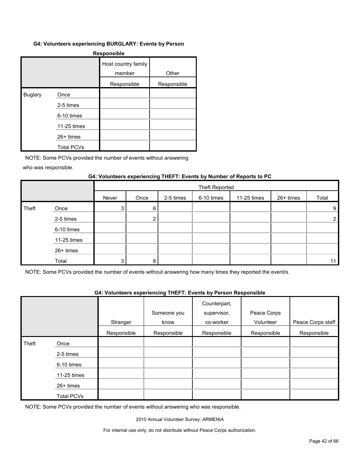#### **G4: Volunteers experiencing BURGLARY: Events by Person**

| <b>Responsible</b> |                   |                               |             |  |  |  |  |  |
|--------------------|-------------------|-------------------------------|-------------|--|--|--|--|--|
|                    |                   | Host country family<br>member | Other       |  |  |  |  |  |
|                    |                   | Responsible                   | Responsible |  |  |  |  |  |
| <b>Buglary</b>     | Once              |                               |             |  |  |  |  |  |
|                    | 2-5 times         |                               |             |  |  |  |  |  |
|                    | 6-10 times        |                               |             |  |  |  |  |  |
|                    | 11-25 times       |                               |             |  |  |  |  |  |
|                    | 26+ times         |                               |             |  |  |  |  |  |
|                    | <b>Total PCVs</b> |                               |             |  |  |  |  |  |

NOTE: Some PCVs provided the number of events without answering

who was responsible.

#### **G4: Volunteers experiencing THEFT: Events by Number of Reports to PC**

|       |             |       | <b>Theft Reported</b> |           |            |             |           |                |
|-------|-------------|-------|-----------------------|-----------|------------|-------------|-----------|----------------|
|       |             | Never | Once                  | 2-5 times | 6-10 times | 11-25 times | 26+ times | Total          |
| Theft | Once        | 3     | 6                     |           |            |             |           | 9              |
|       | 2-5 times   |       | ົ                     |           |            |             |           | $\overline{2}$ |
|       | 6-10 times  |       |                       |           |            |             |           |                |
|       | 11-25 times |       |                       |           |            |             |           |                |
|       | 26+ times   |       |                       |           |            |             |           |                |
|       | Total       | 3     | 8                     |           |            |             |           | 11             |

NOTE: Some PCVs provided the number of events without answering how many times they reported the event/s.

#### **G4: Volunteers experiencing THEFT: Events by Person Responsible**

|       |               |             | Someone you | Counterpart,<br>supervisor, | Peace Corps |                   |
|-------|---------------|-------------|-------------|-----------------------------|-------------|-------------------|
|       |               | Stranger    | know        | co-worker                   | Volunteer   | Peace Corps staff |
|       |               | Responsible | Responsible | Responsible                 | Responsible | Responsible       |
| Theft | Once          |             |             |                             |             |                   |
|       | 2-5 times     |             |             |                             |             |                   |
|       | 6-10 times    |             |             |                             |             |                   |
|       | $11-25$ times |             |             |                             |             |                   |
|       | $26+$ times   |             |             |                             |             |                   |
|       | Total PCVs    |             |             |                             |             |                   |

NOTE: Some PCVs provided the number of events without answering who was responsible.

2010 Annual Volunteer Survey: ARMENIA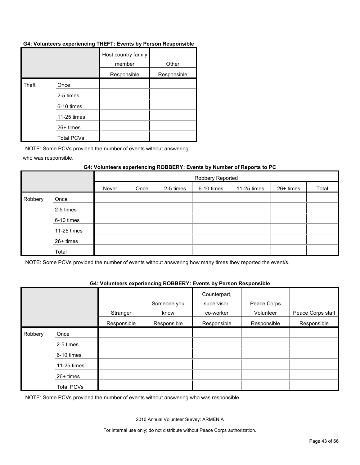#### **G4: Volunteers experiencing THEFT: Events by Person Responsible**

|       |                   | Host country family<br>member | Other       |
|-------|-------------------|-------------------------------|-------------|
|       |                   | Responsible                   | Responsible |
| Theft | Once              |                               |             |
|       | 2-5 times         |                               |             |
|       | 6-10 times        |                               |             |
|       | 11-25 times       |                               |             |
|       | $26+$ times       |                               |             |
|       | <b>Total PCVs</b> |                               |             |

NOTE: Some PCVs provided the number of events without answering

who was responsible.

#### **G4: Volunteers experiencing ROBBERY: Events by Number of Reports to PC**

|         |             |       | Robbery Reported |           |            |             |           |       |  |
|---------|-------------|-------|------------------|-----------|------------|-------------|-----------|-------|--|
|         |             | Never | Once             | 2-5 times | 6-10 times | 11-25 times | 26+ times | Total |  |
| Robbery | Once        |       |                  |           |            |             |           |       |  |
|         | 2-5 times   |       |                  |           |            |             |           |       |  |
|         | 6-10 times  |       |                  |           |            |             |           |       |  |
|         | 11-25 times |       |                  |           |            |             |           |       |  |
|         | 26+ times   |       |                  |           |            |             |           |       |  |
|         | Total       |       |                  |           |            |             |           |       |  |

NOTE: Some PCVs provided the number of events without answering how many times they reported the event/s.

#### **G4: Volunteers experiencing ROBBERY: Events by Person Responsible**

|         |             | Stranger    | Someone you<br>know | Counterpart,<br>supervisor,<br>co-worker | Peace Corps<br>Volunteer | Peace Corps staff |
|---------|-------------|-------------|---------------------|------------------------------------------|--------------------------|-------------------|
|         |             | Responsible | Responsible         | Responsible                              | Responsible              | Responsible       |
| Robbery | Once        |             |                     |                                          |                          |                   |
|         | 2-5 times   |             |                     |                                          |                          |                   |
|         | 6-10 times  |             |                     |                                          |                          |                   |
|         | 11-25 times |             |                     |                                          |                          |                   |
|         | 26+ times   |             |                     |                                          |                          |                   |
|         | Total PCVs  |             |                     |                                          |                          |                   |

NOTE: Some PCVs provided the number of events without answering who was responsible.

2010 Annual Volunteer Survey: ARMENIA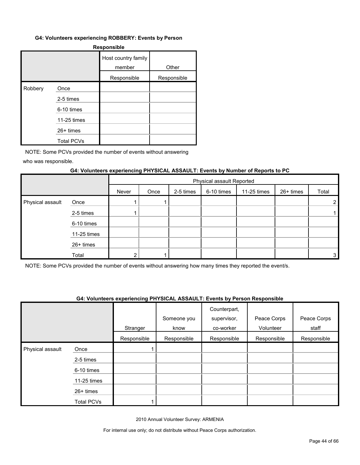#### **G4: Volunteers experiencing ROBBERY: Events by Person**

| <b>Responsible</b> |                   |                               |             |  |  |  |
|--------------------|-------------------|-------------------------------|-------------|--|--|--|
|                    |                   | Host country family<br>member | Other       |  |  |  |
|                    |                   | Responsible                   | Responsible |  |  |  |
| Robbery            | Once              |                               |             |  |  |  |
|                    | 2-5 times         |                               |             |  |  |  |
|                    | 6-10 times        |                               |             |  |  |  |
|                    | 11-25 times       |                               |             |  |  |  |
|                    | $26+$ times       |                               |             |  |  |  |
|                    | <b>Total PCVs</b> |                               |             |  |  |  |

NOTE: Some PCVs provided the number of events without answering

who was responsible.

#### **G4: Volunteers experiencing PHYSICAL ASSAULT: Events by Number of Reports to PC**

|                  |             |       | Physical assault Reported |           |            |             |           |                       |
|------------------|-------------|-------|---------------------------|-----------|------------|-------------|-----------|-----------------------|
|                  |             | Never | Once                      | 2-5 times | 6-10 times | 11-25 times | 26+ times | Total                 |
| Physical assault | Once        |       |                           |           |            |             |           | $\mathbf{2}^{\prime}$ |
|                  | 2-5 times   |       |                           |           |            |             |           |                       |
|                  | 6-10 times  |       |                           |           |            |             |           |                       |
|                  | 11-25 times |       |                           |           |            |             |           |                       |
|                  | 26+ times   |       |                           |           |            |             |           |                       |
|                  | Total       |       |                           |           |            |             |           | 3 <sub>1</sub>        |

NOTE: Some PCVs provided the number of events without answering how many times they reported the event/s.

#### **G4: Volunteers experiencing PHYSICAL ASSAULT: Events by Person Responsible**

|                  |             |             | Someone you | Counterpart,<br>supervisor, | Peace Corps<br>Volunteer | Peace Corps<br>staff |
|------------------|-------------|-------------|-------------|-----------------------------|--------------------------|----------------------|
|                  |             | Stranger    | know        | co-worker                   |                          |                      |
|                  |             | Responsible | Responsible | Responsible                 | Responsible              | Responsible          |
| Physical assault | Once        |             |             |                             |                          |                      |
|                  | 2-5 times   |             |             |                             |                          |                      |
|                  | 6-10 times  |             |             |                             |                          |                      |
|                  | 11-25 times |             |             |                             |                          |                      |
|                  | 26+ times   |             |             |                             |                          |                      |
|                  | Total PCVs  |             |             |                             |                          |                      |

2010 Annual Volunteer Survey: ARMENIA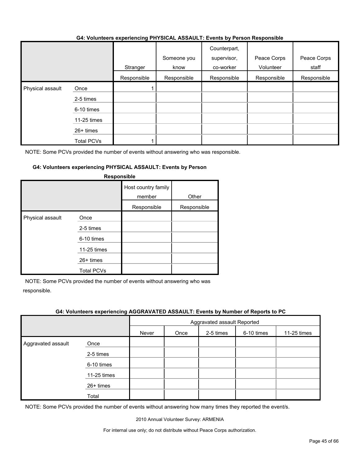#### **G4: Volunteers experiencing PHYSICAL ASSAULT: Events by Person Responsible**

|                  |               | Stranger    | Someone you<br>know | Counterpart,<br>supervisor,<br>co-worker | Peace Corps<br>Volunteer | Peace Corps<br>staff |
|------------------|---------------|-------------|---------------------|------------------------------------------|--------------------------|----------------------|
|                  |               | Responsible | Responsible         | Responsible                              | Responsible              | Responsible          |
| Physical assault | Once          |             |                     |                                          |                          |                      |
|                  | 2-5 times     |             |                     |                                          |                          |                      |
|                  | 6-10 times    |             |                     |                                          |                          |                      |
|                  | $11-25$ times |             |                     |                                          |                          |                      |
|                  | $26+$ times   |             |                     |                                          |                          |                      |
|                  | Total PCVs    |             |                     |                                          |                          |                      |

NOTE: Some PCVs provided the number of events without answering who was responsible.

#### **G4: Volunteers experiencing PHYSICAL ASSAULT: Events by Person**

|                  |                                                                                    | Host country family<br>member<br>Responsible | Other<br>Responsible |
|------------------|------------------------------------------------------------------------------------|----------------------------------------------|----------------------|
| Physical assault | Once<br>2-5 times<br>6-10 times<br>11-25 times<br>$26+$ times<br><b>Total PCVs</b> |                                              |                      |

#### **Responsible**

NOTE: Some PCVs provided the number of events without answering who was responsible.

#### **G4: Volunteers experiencing AGGRAVATED ASSAULT: Events by Number of Reports to PC**

|                    |             | Aggravated assault Reported |      |           |            |             |
|--------------------|-------------|-----------------------------|------|-----------|------------|-------------|
|                    |             | Never                       | Once | 2-5 times | 6-10 times | 11-25 times |
| Aggravated assault | Once        |                             |      |           |            |             |
|                    | 2-5 times   |                             |      |           |            |             |
|                    | 6-10 times  |                             |      |           |            |             |
|                    | 11-25 times |                             |      |           |            |             |
|                    | 26+ times   |                             |      |           |            |             |
|                    | Total       |                             |      |           |            |             |

NOTE: Some PCVs provided the number of events without answering how many times they reported the event/s.

2010 Annual Volunteer Survey: ARMENIA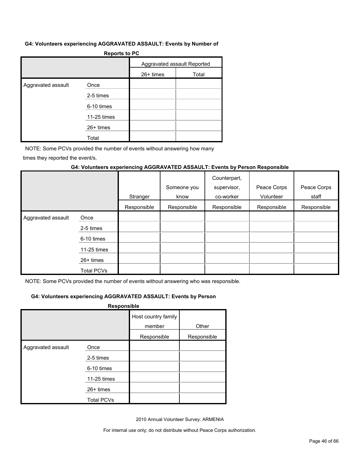#### **G4: Volunteers experiencing AGGRAVATED ASSAULT: Events by Number of**

| Reports to PC      |             |                             |       |  |  |  |
|--------------------|-------------|-----------------------------|-------|--|--|--|
|                    |             | Aggravated assault Reported |       |  |  |  |
|                    |             | 26+ times                   | Total |  |  |  |
| Aggravated assault | Once        |                             |       |  |  |  |
|                    | 2-5 times   |                             |       |  |  |  |
|                    | 6-10 times  |                             |       |  |  |  |
|                    | 11-25 times |                             |       |  |  |  |
|                    | $26+$ times |                             |       |  |  |  |
|                    | Total       |                             |       |  |  |  |

**Reports to PC**

NOTE: Some PCVs provided the number of events without answering how many

times they reported the event/s.

#### **G4: Volunteers experiencing AGGRAVATED ASSAULT: Events by Person Responsible**

|                    |             | Stranger    | Someone you<br>know | Counterpart,<br>supervisor,<br>co-worker | Peace Corps<br>Volunteer | Peace Corps<br>staff |
|--------------------|-------------|-------------|---------------------|------------------------------------------|--------------------------|----------------------|
|                    |             | Responsible | Responsible         | Responsible                              | Responsible              | Responsible          |
| Aggravated assault | Once        |             |                     |                                          |                          |                      |
|                    | 2-5 times   |             |                     |                                          |                          |                      |
|                    | 6-10 times  |             |                     |                                          |                          |                      |
|                    | 11-25 times |             |                     |                                          |                          |                      |
|                    | $26+$ times |             |                     |                                          |                          |                      |
|                    | Total PCVs  |             |                     |                                          |                          |                      |

NOTE: Some PCVs provided the number of events without answering who was responsible.

#### **G4: Volunteers experiencing AGGRAVATED ASSAULT: Events by Person**

| Responsible        |                   |                               |             |  |  |  |
|--------------------|-------------------|-------------------------------|-------------|--|--|--|
|                    |                   | Host country family<br>member | Other       |  |  |  |
|                    |                   | Responsible                   | Responsible |  |  |  |
| Aggravated assault | Once              |                               |             |  |  |  |
|                    | 2-5 times         |                               |             |  |  |  |
|                    | 6-10 times        |                               |             |  |  |  |
|                    | 11-25 times       |                               |             |  |  |  |
|                    | $26+$ times       |                               |             |  |  |  |
|                    | <b>Total PCVs</b> |                               |             |  |  |  |

2010 Annual Volunteer Survey: ARMENIA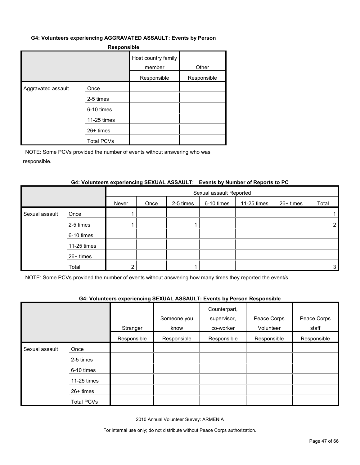#### **G4: Volunteers experiencing AGGRAVATED ASSAULT: Events by Person**

| <b>Responsible</b> |
|--------------------|
|--------------------|

|                    |                   | Host country family<br>member | Other       |
|--------------------|-------------------|-------------------------------|-------------|
|                    |                   | Responsible                   | Responsible |
| Aggravated assault | Once              |                               |             |
|                    | 2-5 times         |                               |             |
|                    | 6-10 times        |                               |             |
|                    | 11-25 times       |                               |             |
|                    | $26+$ times       |                               |             |
|                    | <b>Total PCVs</b> |                               |             |

NOTE: Some PCVs provided the number of events without answering who was responsible.

#### **G4: Volunteers experiencing SEXUAL ASSAULT: Events by Number of Reports to PC**

|                |             |       | Sexual assault Reported |           |            |             |           |       |
|----------------|-------------|-------|-------------------------|-----------|------------|-------------|-----------|-------|
|                |             | Never | Once                    | 2-5 times | 6-10 times | 11-25 times | 26+ times | Total |
| Sexual assault | Once        |       |                         |           |            |             |           |       |
|                | 2-5 times   |       |                         |           |            |             |           | ົ     |
|                | 6-10 times  |       |                         |           |            |             |           |       |
|                | 11-25 times |       |                         |           |            |             |           |       |
|                | 26+ times   |       |                         |           |            |             |           |       |
|                | Total       | ◠     |                         |           |            |             |           | 3     |

NOTE: Some PCVs provided the number of events without answering how many times they reported the event/s.

#### **G4: Volunteers experiencing SEXUAL ASSAULT: Events by Person Responsible**

|                |                   | Stranger    | Someone you<br>know | Counterpart,<br>supervisor,<br>co-worker | Peace Corps<br>Volunteer | Peace Corps<br>staff |
|----------------|-------------------|-------------|---------------------|------------------------------------------|--------------------------|----------------------|
|                |                   | Responsible | Responsible         | Responsible                              | Responsible              | Responsible          |
| Sexual assault | Once              |             |                     |                                          |                          |                      |
|                | 2-5 times         |             |                     |                                          |                          |                      |
|                | 6-10 times        |             |                     |                                          |                          |                      |
|                | 11-25 times       |             |                     |                                          |                          |                      |
|                | 26+ times         |             |                     |                                          |                          |                      |
|                | <b>Total PCVs</b> |             |                     |                                          |                          |                      |

2010 Annual Volunteer Survey: ARMENIA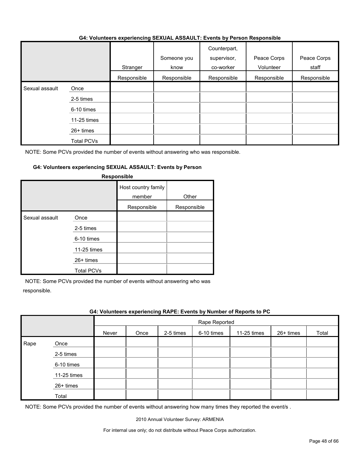|                |                   | Stranger    | Someone you<br>know | Counterpart,<br>supervisor,<br>co-worker | Peace Corps<br>Volunteer | Peace Corps<br>staff |
|----------------|-------------------|-------------|---------------------|------------------------------------------|--------------------------|----------------------|
|                |                   | Responsible | Responsible         | Responsible                              | Responsible              | Responsible          |
| Sexual assault | Once              |             |                     |                                          |                          |                      |
|                | 2-5 times         |             |                     |                                          |                          |                      |
|                | 6-10 times        |             |                     |                                          |                          |                      |
|                | 11-25 times       |             |                     |                                          |                          |                      |
|                | $26+$ times       |             |                     |                                          |                          |                      |
|                | <b>Total PCVs</b> |             |                     |                                          |                          |                      |

#### **G4: Volunteers experiencing SEXUAL ASSAULT: Events by Person Responsible**

NOTE: Some PCVs provided the number of events without answering who was responsible.

#### **G4: Volunteers experiencing SEXUAL ASSAULT: Events by Person**

|                |                                                                                    | Host country family<br>member<br>Responsible | Other<br>Responsible |
|----------------|------------------------------------------------------------------------------------|----------------------------------------------|----------------------|
| Sexual assault | Once<br>2-5 times<br>6-10 times<br>11-25 times<br>$26+$ times<br><b>Total PCVs</b> |                                              |                      |

#### **Responsible**

NOTE: Some PCVs provided the number of events without answering who was responsible.

#### **G4: Volunteers experiencing RAPE: Events by Number of Reports to PC**

|      |             |       | Rape Reported |           |            |             |           |       |
|------|-------------|-------|---------------|-----------|------------|-------------|-----------|-------|
|      |             | Never | Once          | 2-5 times | 6-10 times | 11-25 times | 26+ times | Total |
| Rape | Once        |       |               |           |            |             |           |       |
|      | 2-5 times   |       |               |           |            |             |           |       |
|      | 6-10 times  |       |               |           |            |             |           |       |
|      | 11-25 times |       |               |           |            |             |           |       |
|      | 26+ times   |       |               |           |            |             |           |       |
|      | Total       |       |               |           |            |             |           |       |

NOTE: Some PCVs provided the number of events without answering how many times they reported the event/s.

2010 Annual Volunteer Survey: ARMENIA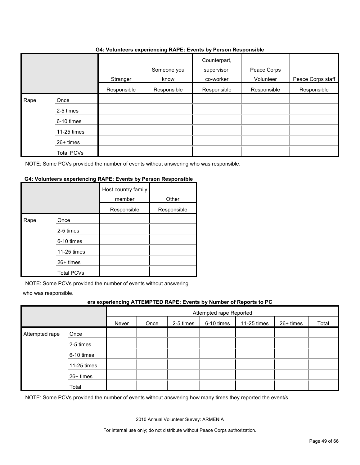#### **G4: Volunteers experiencing RAPE: Events by Person Responsible**

|      |             |             | $\tilde{\phantom{a}}$ |                                          |                          |                   |
|------|-------------|-------------|-----------------------|------------------------------------------|--------------------------|-------------------|
|      |             | Stranger    | Someone you<br>know   | Counterpart,<br>supervisor,<br>co-worker | Peace Corps<br>Volunteer | Peace Corps staff |
|      |             | Responsible | Responsible           | Responsible                              | Responsible              | Responsible       |
| Rape | Once        |             |                       |                                          |                          |                   |
|      | 2-5 times   |             |                       |                                          |                          |                   |
|      | 6-10 times  |             |                       |                                          |                          |                   |
|      | 11-25 times |             |                       |                                          |                          |                   |
|      | 26+ times   |             |                       |                                          |                          |                   |
|      | Total PCVs  |             |                       |                                          |                          |                   |

NOTE: Some PCVs provided the number of events without answering who was responsible.

#### **G4: Volunteers experiencing RAPE: Events by Person Responsible**

|      |                   | Host country family<br>member | Other       |
|------|-------------------|-------------------------------|-------------|
|      |                   | Responsible                   | Responsible |
| Rape | Once              |                               |             |
|      | 2-5 times         |                               |             |
|      | 6-10 times        |                               |             |
|      | 11-25 times       |                               |             |
|      | 26+ times         |                               |             |
|      | <b>Total PCVs</b> |                               |             |

NOTE: Some PCVs provided the number of events without answering

who was responsible.

#### **ers experiencing ATTEMPTED RAPE: Events by Number of Reports to PC**

|                | . .         | -                       |      |           | -          | . .         |           |       |
|----------------|-------------|-------------------------|------|-----------|------------|-------------|-----------|-------|
|                |             | Attempted rape Reported |      |           |            |             |           |       |
|                |             | Never                   | Once | 2-5 times | 6-10 times | 11-25 times | 26+ times | Total |
| Attempted rape | Once        |                         |      |           |            |             |           |       |
|                | 2-5 times   |                         |      |           |            |             |           |       |
|                | 6-10 times  |                         |      |           |            |             |           |       |
|                | 11-25 times |                         |      |           |            |             |           |       |
|                | 26+ times   |                         |      |           |            |             |           |       |
|                | Total       |                         |      |           |            |             |           |       |

NOTE: Some PCVs provided the number of events without answering how many times they reported the event/s .

2010 Annual Volunteer Survey: ARMENIA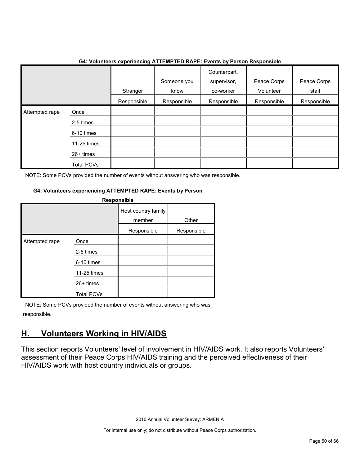|                     | 04. VOIDINGERS GAPGHEIRING AT LEIVIFTED INAFE. EVENIS DY FEISON NESPONSIBIG |             |                     |                                          |                          |                      |
|---------------------|-----------------------------------------------------------------------------|-------------|---------------------|------------------------------------------|--------------------------|----------------------|
|                     |                                                                             | Stranger    | Someone you<br>know | Counterpart,<br>supervisor,<br>co-worker | Peace Corps<br>Volunteer | Peace Corps<br>staff |
|                     |                                                                             | Responsible | Responsible         | Responsible                              | Responsible              | Responsible          |
| Attempted rape<br>I | Once                                                                        |             |                     |                                          |                          |                      |
|                     | 2-5 times                                                                   |             |                     |                                          |                          |                      |
|                     | 6-10 times                                                                  |             |                     |                                          |                          |                      |
|                     | 11-25 times                                                                 |             |                     |                                          |                          |                      |
|                     | 26+ times                                                                   |             |                     |                                          |                          |                      |
|                     | Total PCVs                                                                  |             |                     |                                          |                          |                      |

#### **G4: Volunteers experiencing ATTEMPTED RAPE: Events by Person Responsible**

NOTE: Some PCVs provided the number of events without answering who was responsible.

#### **G4: Volunteers experiencing ATTEMPTED RAPE: Events by Person**

| Responsible    |                   |                               |             |  |  |  |  |
|----------------|-------------------|-------------------------------|-------------|--|--|--|--|
|                |                   | Host country family<br>member | Other       |  |  |  |  |
|                |                   | Responsible                   | Responsible |  |  |  |  |
| Attempted rape | Once              |                               |             |  |  |  |  |
|                | 2-5 times         |                               |             |  |  |  |  |
|                | 6-10 times        |                               |             |  |  |  |  |
|                | 11-25 times       |                               |             |  |  |  |  |
|                | $26+$ times       |                               |             |  |  |  |  |
|                | <b>Total PCVs</b> |                               |             |  |  |  |  |

NOTE: Some PCVs provided the number of events without answering who was responsible.

## <span id="page-49-0"></span>**H. Volunteers Working in HIV/AIDS**

This section reports Volunteers' level of involvement in HIV/AIDS work. It also reports Volunteers' assessment of their Peace Corps HIV/AIDS training and the perceived effectiveness of their HIV/AIDS work with host country individuals or groups.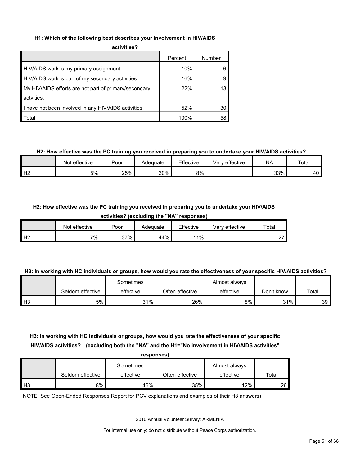#### **H1: Which of the following best describes your involvement in HIV/AIDS**

| activities? |
|-------------|
|             |
|             |

|                                                       | Percent | Number |
|-------------------------------------------------------|---------|--------|
| HIV/AIDS work is my primary assignment.               | 10%     |        |
| HIV/AIDS work is part of my secondary activities.     | 16%     |        |
| My HIV/AIDS efforts are not part of primary/secondary | 22%     | 13     |
| actvities.                                            |         |        |
| I have not been involved in any HIV/AIDS activities.  | 52%     | 30     |
| Total                                                 | 100%    | 58     |

#### **H2: How effective was the PC training you received in preparing you to undertake your HIV/AIDS activities?**

|                | Not effective | Poor | Adequate | Effective | Very effective | <b>NA</b> | Total |
|----------------|---------------|------|----------|-----------|----------------|-----------|-------|
| H <sub>2</sub> | 5%            | 25%  | 30%      | 8%        |                | 33%       | 40 L  |

#### **H2: How effective was the PC training you received in preparing you to undertake your HIV/AIDS**

**activities? (excluding the "NA" responses)**

|                | effective<br><b>Not</b> | Poor | Adequate | Effective | effective<br>√erv | Total              |
|----------------|-------------------------|------|----------|-----------|-------------------|--------------------|
| H <sub>2</sub> | $7\%$                   | 37%  | 44%      | 11%       |                   | $\sim$<br><u>.</u> |

#### **H3: In working with HC individuals or groups, how would you rate the effectiveness of your specific HIV/AIDS activities?**

|                |                  | Sometimes |                 | Almost always |            |       |
|----------------|------------------|-----------|-----------------|---------------|------------|-------|
|                | Seldom effective | effective | Often effective | effective     | Don't know | Total |
| H <sub>3</sub> | 5%               | 31%       | 26%             | 8%            | 31%        | 39    |

#### **H3: In working with HC individuals or groups, how would you rate the effectiveness of your specific HIV/AIDS activities? (excluding both the "NA" and the H1="No involvement in HIV/AIDS activities" responses)**

|                | responses)       |           |                 |               |       |  |  |  |  |
|----------------|------------------|-----------|-----------------|---------------|-------|--|--|--|--|
|                |                  | Sometimes |                 | Almost always |       |  |  |  |  |
|                | Seldom effective | effective | Often effective | effective     | Total |  |  |  |  |
| H <sub>3</sub> | 8%               | 46%       | 35%             | 12%           | 26    |  |  |  |  |

NOTE: See Open-Ended Responses Report for PCV explanations and examples of their H3 answers)

2010 Annual Volunteer Survey: ARMENIA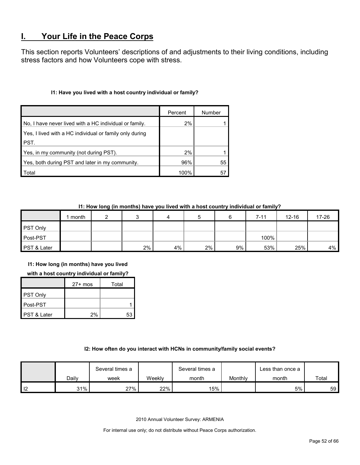## <span id="page-51-0"></span>**I. Your Life in the Peace Corps**

This section reports Volunteers' descriptions of and adjustments to their living conditions, including stress factors and how Volunteers cope with stress.

#### **I1: Have you lived with a host country individual or family?**

|                                                         | Percent | Number |
|---------------------------------------------------------|---------|--------|
| No, I have never lived with a HC individual or family.  | 2%      |        |
| Yes, I lived with a HC individual or family only during |         |        |
| PST.                                                    |         |        |
| Yes, in my community (not during PST).                  | 2%      |        |
| Yes, both during PST and later in my community.         | 96%     | 55     |
| Total                                                   | 100%    | 57     |

#### **I1: How long (in months) have you lived with a host country individual or family?**

|                        | month |       |    |       |       | 7-11 | $12 - 16$ | 17-26 |
|------------------------|-------|-------|----|-------|-------|------|-----------|-------|
| <b>PST Only</b>        |       |       |    |       |       |      |           |       |
| Post-PST               |       |       |    |       |       | 100% |           |       |
| <b>PST &amp; Later</b> |       | $2\%$ | 4% | $2\%$ | $9\%$ | 53%  | 25%       | $4\%$ |

**I1: How long (in months) have you lived** 

**with a host country individual or family?**

|                 | $27+$ mos | Total |
|-----------------|-----------|-------|
| <b>PST Only</b> |           |       |
| Post-PST        |           |       |
| PST & Later     | 2%        | 53    |

#### **I2: How often do you interact with HCNs in community/family social events?**

|          |       | Several times a |        |       |         | Less than once a |       |
|----------|-------|-----------------|--------|-------|---------|------------------|-------|
|          | Dailv | week            | Weekly | month | Monthly | month            | Total |
| ıо<br>ı∠ | 31%   | 27%             | 22%    | 15%   |         | 5%               | 59    |

2010 Annual Volunteer Survey: ARMENIA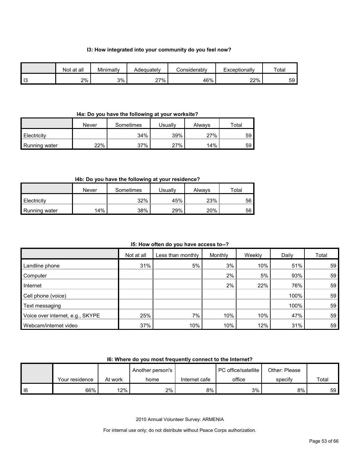#### **I3: How integrated into your community do you feel now?**

|           | Not at all | Minimally | Adeauatelv | Considerably | Exceptionally | Total |
|-----------|------------|-----------|------------|--------------|---------------|-------|
| -10<br>10 | 2%         | 3%        | 27%        | 46%          | 22%           | 59    |

#### **I4a: Do you have the following at your worksite?**

|               | Never | Sometimes | Jsually | Always | ™otal |
|---------------|-------|-----------|---------|--------|-------|
| Electricity   |       | 34%       | 39%     | 27%    | 59    |
| Running water | 22%   | 37%       | 27%     | 14%    | 59    |

#### **I4b: Do you have the following at your residence?**

|                      | Never | Sometimes | Jsually | Always | $\tau$ otal |
|----------------------|-------|-----------|---------|--------|-------------|
| Electricity          |       | 32%       | 45%     | 23%    | 56          |
| <b>Running water</b> | 14%   | 38%       | 29%     | 20%    | 56          |

**I5: How often do you have access to--?**

|                                  | Not at all | Less than monthly | Monthly | Weekly | Daily | Total |
|----------------------------------|------------|-------------------|---------|--------|-------|-------|
| Landline phone                   | 31%        | 5%                | 3%      | 10%    | 51%   | 59    |
| Computer                         |            |                   | 2%      | 5%     | 93%   | 59    |
| Internet                         |            |                   | 2%      | 22%    | 76%   | 59    |
| Cell phone (voice)               |            |                   |         |        | 100%  | 59    |
| Text messaging                   |            |                   |         |        | 100%  | 59    |
| Voice over internet, e.g., SKYPE | 25%        | 7%                | 10%     | 10%    | 47%   | 59    |
| Webcam/internet video            | 37%        | 10%               | 10%     | 12%    | 31%   | 59    |

#### **I6: Where do you most frequently connect to the Internet?**

|    |                |         | Another person's |               | <b>PC</b> office/satellite | Other: Please |       |
|----|----------------|---------|------------------|---------------|----------------------------|---------------|-------|
|    | Your residence | At work | home             | Internet cafe | office                     | specify       | Total |
| 16 | 66%            | 12%     | 2%               | 8%            | 3%                         | 8%            | 59    |

2010 Annual Volunteer Survey: ARMENIA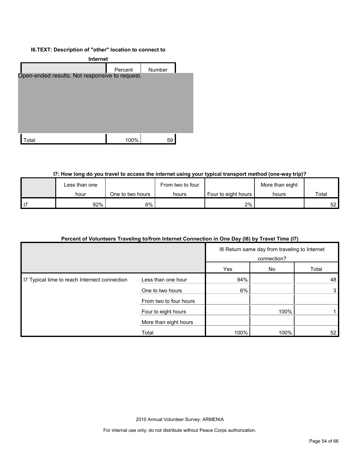#### **I6.TEXT: Description of "other" location to connect to**



#### **I7: How long do you travel to access the internet using your typical transport method (one-way trip)?**

| Less than one |                  | From two to four |                       | More than eight |       |
|---------------|------------------|------------------|-----------------------|-----------------|-------|
| hour          | One to two hours | hours            | Four to eight hours I | hours           | Total |
| 92%           | $6\%$            |                  | $2\%$                 |                 | 52 I  |

#### **Percent of Volunteers Traveling to/from Internet Connection in One Day (I8) by Travel Time (I7)**

|                                               |                        |      | 18 Return same day from traveling to Internet<br>connection? |       |
|-----------------------------------------------|------------------------|------|--------------------------------------------------------------|-------|
|                                               |                        | Yes  | No                                                           | Total |
| I7 Typical time to reach Internect connection | Less than one hour     | 94%  |                                                              | 48    |
|                                               | One to two hours       | 6%   |                                                              | 3     |
|                                               | From two to four hours |      |                                                              |       |
|                                               | Four to eight hours    |      | 100%                                                         |       |
|                                               | More than eight hours  |      |                                                              |       |
|                                               | Total                  | 100% | 100%                                                         | 52    |

2010 Annual Volunteer Survey: ARMENIA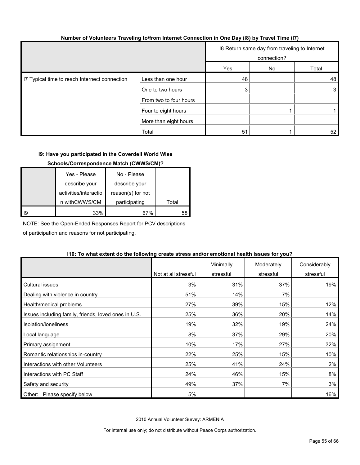| Number of Volunteers Traveling to/from Internet Connection in One Day (I8) by Travel Time (I7) |  |  |
|------------------------------------------------------------------------------------------------|--|--|
|                                                                                                |  |  |

|                                               |                        |     | 18 Return same day from traveling to Internet<br>connection? |       |
|-----------------------------------------------|------------------------|-----|--------------------------------------------------------------|-------|
|                                               |                        | Yes | No                                                           | Total |
| I7 Typical time to reach Internect connection | Less than one hour     | 48  |                                                              | 48    |
|                                               | One to two hours       | 3   |                                                              | 3     |
|                                               | From two to four hours |     |                                                              |       |
|                                               | Four to eight hours    |     |                                                              |       |
|                                               | More than eight hours  |     |                                                              |       |
|                                               | Total                  | 51  |                                                              | 52    |

#### **I9: Have you participated in the Coverdell World Wise**

#### **Schools/Correspondence Match (CWWS/CM)?**

|      | Yes - Please          | No - Please       |       |
|------|-----------------------|-------------------|-------|
|      | describe your         | describe your     |       |
|      | activities/interactio | reason(s) for not |       |
|      | n withCWWS/CM         | participating     | Total |
| l 19 | 33%                   | 67%               | 58    |

NOTE: See the Open-Ended Responses Report for PCV descriptions

of participation and reasons for not participating.

#### **I10: To what extent do the following create stress and/or emotional health issues for you?**

|                                                      |                      | Minimally | Moderately | Considerably |
|------------------------------------------------------|----------------------|-----------|------------|--------------|
|                                                      | Not at all stressful | stressful | stressful  | stressful    |
| Cultural issues                                      | 3%                   | 31%       | 37%        | 19%          |
| Dealing with violence in country                     | 51%                  | 14%       | 7%         |              |
| Health/medical problems                              | 27%                  | 39%       | 15%        | 12%          |
| Issues including family, friends, loved ones in U.S. | 25%                  | 36%       | 20%        | 14%          |
| Isolation/Ioneliness                                 | 19%                  | 32%       | 19%        | 24%          |
| Local language                                       | 8%                   | 37%       | 29%        | 20%          |
| Primary assignment                                   | 10%                  | 17%       | 27%        | 32%          |
| Romantic relationships in-country                    | 22%                  | 25%       | 15%        | 10%          |
| Interactions with other Volunteers                   | 25%                  | 41%       | 24%        | 2%           |
| Interactions with PC Staff                           | 24%                  | 46%       | 15%        | 8%           |
| Safety and security                                  | 49%                  | 37%       | 7%         | 3%           |
| Please specify below<br>Other:                       | 5%                   |           |            | 16%          |

2010 Annual Volunteer Survey: ARMENIA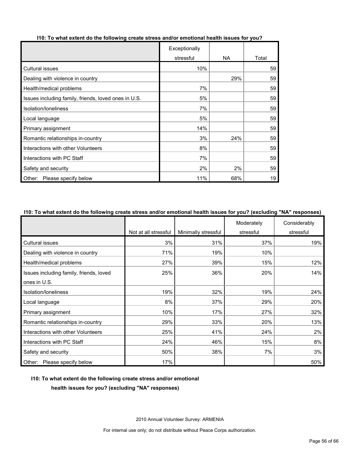|                                                      | Exceptionally |           |       |
|------------------------------------------------------|---------------|-----------|-------|
|                                                      | stressful     | <b>NA</b> | Total |
| <b>Cultural issues</b>                               | 10%           |           | 59    |
| Dealing with violence in country                     |               | 29%       | 59    |
| Health/medical problems                              | 7%            |           | 59    |
| Issues including family, friends, loved ones in U.S. | 5%            |           | 59    |
| Isolation/loneliness                                 | 7%            |           | 59    |
| Local language                                       | 5%            |           | 59    |
| Primary assignment                                   | 14%           |           | 59    |
| Romantic relationships in-country                    | 3%            | 24%       | 59    |
| Interactions with other Volunteers                   | 8%            |           | 59    |
| Interactions with PC Staff                           | 7%            |           | 59    |
| Safety and security                                  | 2%            | 2%        | 59    |
| Other: Please specify below                          | 11%           | 68%       | 19    |

#### **I10: To what extent do the following create stress and/or emotional health issues for you?**

#### **I10: To what extent do the following create stress and/or emotional health issues for you? (excluding "NA" responses)**

|                                         |                      |                     | Moderately | Considerably |
|-----------------------------------------|----------------------|---------------------|------------|--------------|
|                                         | Not at all stressful | Minimally stressful | stressful  | stressful    |
| Cultural issues                         | 3%                   | 31%                 | 37%        | 19%          |
| Dealing with violence in country        | 71%                  | 19%                 | 10%        |              |
| Health/medical problems                 | 27%                  | 39%                 | 15%        | 12%          |
| Issues including family, friends, loved | 25%                  | 36%                 | 20%        | 14%          |
| ones in U.S.                            |                      |                     |            |              |
| Isolation/loneliness                    | 19%                  | 32%                 | 19%        | 24%          |
| Local language                          | 8%                   | 37%                 | 29%        | 20%          |
| Primary assignment                      | 10%                  | 17%                 | 27%        | 32%          |
| Romantic relationships in-country       | 29%                  | 33%                 | 20%        | 13%          |
| Interactions with other Volunteers      | 25%                  | 41%                 | 24%        | 2%           |
| Interactions with PC Staff              | 24%                  | 46%                 | 15%        | 8%           |
| Safety and security                     | 50%                  | 38%                 | 7%         | 3%           |
| Other:<br>Please specify below          | 17%                  |                     |            | 50%          |

#### **I10: To what extent do the following create stress and/or emotional**

**health issues for you? (excluding "NA" responses)**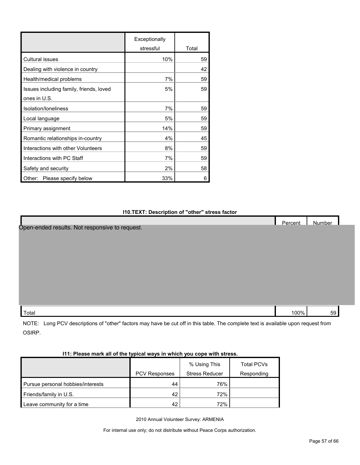|                                         | Exceptionally |       |
|-----------------------------------------|---------------|-------|
|                                         | stressful     | Total |
| <b>Cultural issues</b>                  | 10%           | 59    |
| Dealing with violence in country        |               | 42    |
| Health/medical problems                 | 7%            | 59    |
| Issues including family, friends, loved | 5%            | 59    |
| ones in U.S.                            |               |       |
| Isolation/Ioneliness                    | 7%            | 59    |
| Local language                          | 5%            | 59    |
| Primary assignment                      | 14%           | 59    |
| Romantic relationships in-country       | 4%            | 45    |
| Interactions with other Volunteers      | 8%            | 59    |
| Interactions with PC Staff              | 7%            | 59    |
| Safety and security                     | 2%            | 58    |
| Other:<br>Please specify below          | 33%           | 6     |

#### **I10.TEXT: Description of "other" stress factor**

|                                                | Percent | Number |  |
|------------------------------------------------|---------|--------|--|
| Open-ended results. Not responsive to request. |         |        |  |
|                                                |         |        |  |
|                                                |         |        |  |
|                                                |         |        |  |
|                                                |         |        |  |
|                                                |         |        |  |
|                                                |         |        |  |
|                                                |         |        |  |
|                                                |         |        |  |
|                                                |         |        |  |
| Total                                          | 100%    | 59     |  |

NOTE: Long PCV descriptions of "other" factors may have be cut off in this table. The complete text is available upon request from OSIRP.

| I11: Please mark all of the typical ways in which you cope with stress. |  |
|-------------------------------------------------------------------------|--|
|                                                                         |  |

|                                   |               | % Using This          | <b>Total PCVs</b> |
|-----------------------------------|---------------|-----------------------|-------------------|
|                                   | PCV Responses | <b>Stress Reducer</b> | Responding        |
| Pursue personal hobbies/interests | 44            | 76%                   |                   |
| Friends/family in U.S.            | 42            | 72%                   |                   |
| Leave community for a time        | 42            | 72%                   |                   |

2010 Annual Volunteer Survey: ARMENIA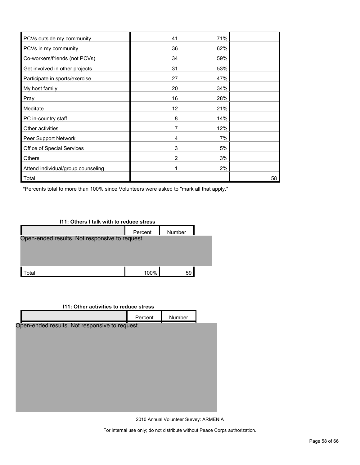| PCVs outside my community          | 41 | 71% |    |
|------------------------------------|----|-----|----|
| PCVs in my community               | 36 | 62% |    |
| Co-workers/friends (not PCVs)      | 34 | 59% |    |
| Get involved in other projects     | 31 | 53% |    |
| Participate in sports/exercise     | 27 | 47% |    |
| My host family                     | 20 | 34% |    |
| Pray                               | 16 | 28% |    |
| Meditate                           | 12 | 21% |    |
| PC in-country staff                | 8  | 14% |    |
| Other activities                   |    | 12% |    |
| Peer Support Network               | 4  | 7%  |    |
| Office of Special Services         | 3  | 5%  |    |
| Others                             | 2  | 3%  |    |
| Attend individual/group counseling |    | 2%  |    |
| Total                              |    |     | 58 |

\*Percents total to more than 100% since Volunteers were asked to "mark all that apply."



### **I11: Other activities to reduce stress**

|                                                | Percent | Number |  |
|------------------------------------------------|---------|--------|--|
| Open-ended results. Not responsive to request. |         |        |  |
|                                                |         |        |  |
|                                                |         |        |  |
|                                                |         |        |  |
|                                                |         |        |  |
|                                                |         |        |  |
|                                                |         |        |  |
|                                                |         |        |  |

2010 Annual Volunteer Survey: ARMENIA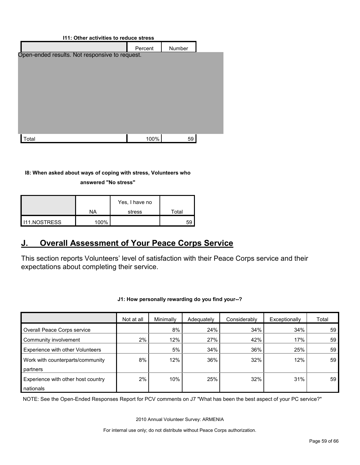| 111: Other activities to reduce stress         |         |        |  |  |  |
|------------------------------------------------|---------|--------|--|--|--|
|                                                | Percent | Number |  |  |  |
| Open-ended results. Not responsive to request. |         |        |  |  |  |
|                                                |         |        |  |  |  |
|                                                |         |        |  |  |  |
|                                                |         |        |  |  |  |
|                                                |         |        |  |  |  |
|                                                |         |        |  |  |  |
|                                                |         |        |  |  |  |
|                                                |         |        |  |  |  |
|                                                |         |        |  |  |  |
| otal                                           | 100%    | 59     |  |  |  |
|                                                |         |        |  |  |  |

#### **I8: When asked about ways of coping with stress, Volunteers who**

**answered "No stress"** 

|                       |      | Yes, I have no |       |
|-----------------------|------|----------------|-------|
|                       | NA   | stress         | Total |
| <b>I</b> I11.NOSTRESS | 100% |                | 59    |

## <span id="page-58-0"></span>**J. Overall Assessment of Your Peace Corps Service**

This section reports Volunteers' level of satisfaction with their Peace Corps service and their expectations about completing their service.

|                                    | Not at all | Minimally | Adequately | Considerably | Exceptionally | Total |
|------------------------------------|------------|-----------|------------|--------------|---------------|-------|
| Overall Peace Corps service        |            | 8%        | 24%        | 34%          | 34%           | 59    |
| Community involvement              | 2%         | 12%       | 27%        | 42%          | 17%           | 59    |
| Experience with other Volunteers   |            | 5%        | 34%        | 36%          | 25%           | 59    |
| Work with counterparts/community   | 8%         | 12%       | 36%        | 32%          | 12%           | 59    |
| partners                           |            |           |            |              |               |       |
| Experience with other host country | 2%         | 10%       | 25%        | 32%          | 31%           | 59    |
| nationals                          |            |           |            |              |               |       |

**J1: How personally rewarding do you find your--?** 

NOTE: See the Open-Ended Responses Report for PCV comments on J7 "What has been the best aspect of your PC service?"

2010 Annual Volunteer Survey: ARMENIA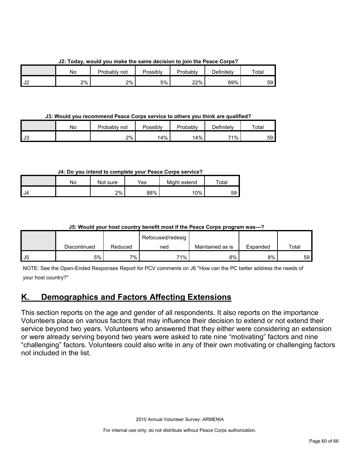**J2: Today, would you make the same decision to join the Peace Corps?**

|    | No | Probably not | <b>Possibly</b> | Probably | <b>Definitely</b> | $\tau$ otal |
|----|----|--------------|-----------------|----------|-------------------|-------------|
| J2 | 2% | 2%           | 5%              | 22%      | 69%               | 59          |

**J3: Would you recommend Peace Corps service to others you think are qualified?**

|      | Nο | Probably not | Possibly | Probably | $\Delta$ efinitelv | Total |
|------|----|--------------|----------|----------|--------------------|-------|
| l J3 |    | 2%           | 14%      | 14%      | 71%                | 59    |

**J4: Do you intend to complete your Peace Corps service?**

|    | Nο | Not sure | Yes | Might extend | $\mathop{\mathsf{Total}}$ |
|----|----|----------|-----|--------------|---------------------------|
| J4 |    | 2%       | 88% | 10%          | 59                        |

### **J5: Would your host country benefit most if the Peace Corps program was---?**

|      |              |         | Refocused/redesig |                  |          |                 |
|------|--------------|---------|-------------------|------------------|----------|-----------------|
|      | Discontinued | Reduced | ned               | Maintained as is | Expanded | Total           |
| l J5 | 5%           | $7\%$   | 71%               | 8%               | 8%       | 59 <sup>°</sup> |

NOTE: See the Open-Ended Responses Report for PCV comments on J6 "How can the PC better address the needs of your host country?"

## <span id="page-59-0"></span>**K. Demographics and Factors Affecting Extensions**

This section reports on the age and gender of all respondents. It also reports on the importance Volunteers place on various factors that may influence their decision to extend or not extend their service beyond two years. Volunteers who answered that they either were considering an extension or were already serving beyond two years were asked to rate nine "motivating" factors and nine "challenging" factors. Volunteers could also write in any of their own motivating or challenging factors not included in the list.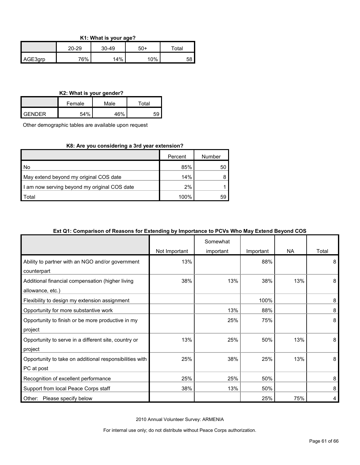| K1: What is your age? |  |
|-----------------------|--|
|-----------------------|--|

|         | 20-29 | 30-49 | 50+ | $\tau$ otal |
|---------|-------|-------|-----|-------------|
| AGE3grp | 76%   | 14%   | 10% | 58          |

#### **K2: What is your gender?**

|               | Female | Male | Total |  |  |  |
|---------------|--------|------|-------|--|--|--|
| <b>GENDER</b> | 54%    | 46%  |       |  |  |  |

Other demographic tables are available upon request

#### **K8: Are you considering a 3rd year extension?**

|                                              | Percent | Number |
|----------------------------------------------|---------|--------|
| l No                                         | 85%     | 50     |
| May extend beyond my original COS date       | 14%     |        |
| I am now serving beyond my original COS date | 2%      |        |
| Total                                        | 100%    | 59     |

#### **Ext Q1: Comparison of Reasons for Extending by Importance to PCVs Who May Extend Beyond COS**

|                                                         |               | Somewhat  |           |           |       |
|---------------------------------------------------------|---------------|-----------|-----------|-----------|-------|
|                                                         | Not Important | important | Important | <b>NA</b> | Total |
| Ability to partner with an NGO and/or government        | 13%           |           | 88%       |           | 8     |
| counterpart                                             |               |           |           |           |       |
| Additional financial compensation (higher living        | 38%           | 13%       | 38%       | 13%       | 8     |
| allowance, etc.)                                        |               |           |           |           |       |
| Flexibility to design my extension assignment           |               |           | 100%      |           | 8     |
| Opportunity for more substantive work                   |               | 13%       | 88%       |           | 8     |
| Opportunity to finish or be more productive in my       |               | 25%       | 75%       |           | 8     |
| project                                                 |               |           |           |           |       |
| Opportunity to serve in a different site, country or    | 13%           | 25%       | 50%       | 13%       | 8     |
| project                                                 |               |           |           |           |       |
| Opportunity to take on additional responsibilities with | 25%           | 38%       | 25%       | 13%       | 8     |
| PC at post                                              |               |           |           |           |       |
| Recognition of excellent performance                    | 25%           | 25%       | 50%       |           | 8     |
| Support from local Peace Corps staff                    | 38%           | 13%       | 50%       |           | 8     |
| Other:<br>Please specify below                          |               |           | 25%       | 75%       | 4     |

2010 Annual Volunteer Survey: ARMENIA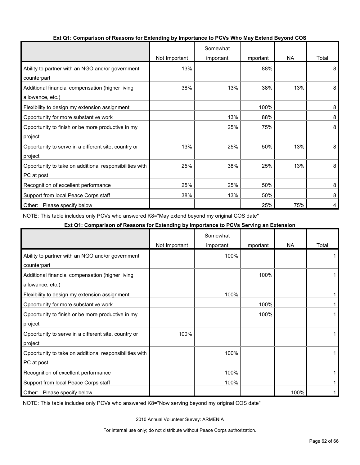|                                                         |               | Somewhat  |           |           |       |
|---------------------------------------------------------|---------------|-----------|-----------|-----------|-------|
|                                                         | Not Important | important | Important | <b>NA</b> | Total |
| Ability to partner with an NGO and/or government        | 13%           |           | 88%       |           | 8     |
| counterpart                                             |               |           |           |           |       |
| Additional financial compensation (higher living        | 38%           | 13%       | 38%       | 13%       | 8     |
| allowance, etc.)                                        |               |           |           |           |       |
| Flexibility to design my extension assignment           |               |           | 100%      |           | 8     |
| Opportunity for more substantive work                   |               | 13%       | 88%       |           | 8     |
| Opportunity to finish or be more productive in my       |               | 25%       | 75%       |           | 8     |
| project                                                 |               |           |           |           |       |
| Opportunity to serve in a different site, country or    | 13%           | 25%       | 50%       | 13%       | 8     |
| project                                                 |               |           |           |           |       |
| Opportunity to take on additional responsibilities with | 25%           | 38%       | 25%       | 13%       | 8     |
| PC at post                                              |               |           |           |           |       |
| Recognition of excellent performance                    | 25%           | 25%       | 50%       |           | 8     |
| Support from local Peace Corps staff                    | 38%           | 13%       | 50%       |           | 8     |
| Other:<br>Please specify below                          |               |           | 25%       | 75%       | 4     |

#### **Ext Q1: Comparison of Reasons for Extending by Importance to PCVs Who May Extend Beyond COS**

NOTE: This table includes only PCVs who answered K8="May extend beyond my original COS date"

#### **Ext Q1: Comparison of Reasons for Extending by Importance to PCVs Serving an Extension**

|                                                         |               | Somewhat  |           |           |       |
|---------------------------------------------------------|---------------|-----------|-----------|-----------|-------|
|                                                         | Not Important | important | Important | <b>NA</b> | Total |
| Ability to partner with an NGO and/or government        |               | 100%      |           |           |       |
| counterpart                                             |               |           |           |           |       |
| Additional financial compensation (higher living        |               |           | 100%      |           |       |
| allowance, etc.)                                        |               |           |           |           |       |
| Flexibility to design my extension assignment           |               | 100%      |           |           |       |
| Opportunity for more substantive work                   |               |           | 100%      |           |       |
| Opportunity to finish or be more productive in my       |               |           | 100%      |           |       |
| project                                                 |               |           |           |           |       |
| Opportunity to serve in a different site, country or    | 100%          |           |           |           |       |
| project                                                 |               |           |           |           |       |
| Opportunity to take on additional responsibilities with |               | 100%      |           |           |       |
| PC at post                                              |               |           |           |           |       |
| Recognition of excellent performance                    |               | 100%      |           |           |       |
| Support from local Peace Corps staff                    |               | 100%      |           |           |       |
| Other: Please specify below                             |               |           |           | 100%      |       |

NOTE: This table includes only PCVs who answered K8="Now serving beyond my original COS date"

2010 Annual Volunteer Survey: ARMENIA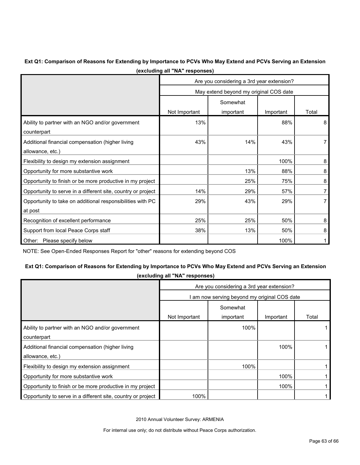#### **Ext Q1: Comparison of Reasons for Extending by Importance to PCVs Who May Extend and PCVs Serving an Extension (excluding all "NA" responses)**

|                                                              | Are you considering a 3rd year extension? |           |           |       |  |  |  |
|--------------------------------------------------------------|-------------------------------------------|-----------|-----------|-------|--|--|--|
|                                                              | May extend beyond my original COS date    |           |           |       |  |  |  |
|                                                              | Somewhat                                  |           |           |       |  |  |  |
|                                                              | Not Important                             | important | Important | Total |  |  |  |
| Ability to partner with an NGO and/or government             | 13%                                       |           | 88%       | 8     |  |  |  |
| counterpart                                                  |                                           |           |           |       |  |  |  |
| Additional financial compensation (higher living             | 43%                                       | 14%       | 43%       |       |  |  |  |
| allowance, etc.)                                             |                                           |           |           |       |  |  |  |
| Flexibility to design my extension assignment                |                                           |           | 100%      | 8     |  |  |  |
| Opportunity for more substantive work                        |                                           | 13%       | 88%       | 8     |  |  |  |
| Opportunity to finish or be more productive in my project    |                                           | 25%       | 75%       | 8     |  |  |  |
| Opportunity to serve in a different site, country or project | 14%                                       | 29%       | 57%       |       |  |  |  |
| Opportunity to take on additional responsibilities with PC   | 29%                                       | 43%       | 29%       |       |  |  |  |
| at post                                                      |                                           |           |           |       |  |  |  |
| Recognition of excellent performance                         | 25%                                       | 25%       | 50%       | 8     |  |  |  |
| Support from local Peace Corps staff                         | 38%                                       | 13%       | 50%       | 8     |  |  |  |
| Other: Please specify below                                  |                                           |           | 100%      |       |  |  |  |

NOTE: See Open-Ended Responses Report for "other" reasons for extending beyond COS

### **Ext Q1: Comparison of Reasons for Extending by Importance to PCVs Who May Extend and PCVs Serving an Extension**

**(excluding all "NA" responses)**

|                                                              | Are you considering a 3rd year extension?  |                       |           |       |  |  |  |
|--------------------------------------------------------------|--------------------------------------------|-----------------------|-----------|-------|--|--|--|
|                                                              | am now serving beyond my original COS date |                       |           |       |  |  |  |
|                                                              | Not Important                              | Somewhat<br>important | Important | Total |  |  |  |
| Ability to partner with an NGO and/or government             |                                            | 100%                  |           |       |  |  |  |
| counterpart                                                  |                                            |                       |           |       |  |  |  |
| Additional financial compensation (higher living             |                                            |                       | 100%      |       |  |  |  |
| allowance, etc.)                                             |                                            |                       |           |       |  |  |  |
| Flexibility to design my extension assignment                |                                            | 100%                  |           |       |  |  |  |
| Opportunity for more substantive work                        |                                            |                       | 100%      |       |  |  |  |
| Opportunity to finish or be more productive in my project    |                                            |                       | 100%      |       |  |  |  |
| Opportunity to serve in a different site, country or project | 100%                                       |                       |           |       |  |  |  |

2010 Annual Volunteer Survey: ARMENIA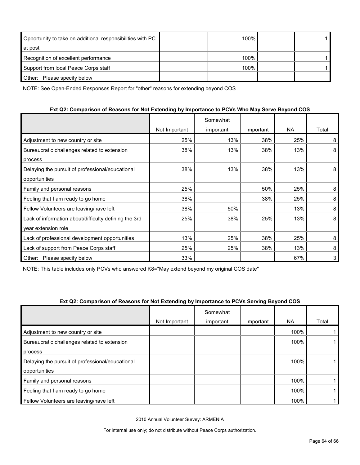| Opportunity to take on additional responsibilities with PC | 100% |  |
|------------------------------------------------------------|------|--|
| at post                                                    |      |  |
| Recognition of excellent performance                       | 100% |  |
| Support from local Peace Corps staff                       | 100% |  |
| Other: Please specify below                                |      |  |

NOTE: See Open-Ended Responses Report for "other" reasons for extending beyond COS

#### **Ext Q2: Comparison of Reasons for Not Extending by Importance to PCVs Who May Serve Beyond COS**

|                                                       |               | Somewhat  |           |     |       |
|-------------------------------------------------------|---------------|-----------|-----------|-----|-------|
|                                                       | Not Important | important | Important | NA. | Total |
| Adjustment to new country or site                     | 25%           | 13%       | 38%       | 25% | 8     |
| Bureaucratic challenges related to extension          | 38%           | 13%       | 38%       | 13% | 8     |
| process                                               |               |           |           |     |       |
| Delaying the pursuit of professional/educational      | 38%           | 13%       | 38%       | 13% | 8     |
| opportunities                                         |               |           |           |     |       |
| Family and personal reasons                           | 25%           |           | 50%       | 25% | 8     |
| Feeling that I am ready to go home                    | 38%           |           | 38%       | 25% | 8     |
| Fellow Volunteers are leaving/have left               | 38%           | 50%       |           | 13% | 8     |
| Lack of information about/difficulty defining the 3rd | 25%           | 38%       | 25%       | 13% | 8     |
| year extension role                                   |               |           |           |     |       |
| Lack of professional development opportunities        | 13%           | 25%       | 38%       | 25% | 8     |
| Lack of support from Peace Corps staff                | 25%           | 25%       | 38%       | 13% | 8     |
| Other:<br>Please specify below                        | 33%           |           |           | 67% | 3     |

NOTE: This table includes only PCVs who answered K8="May extend beyond my original COS date"

#### **Ext Q2: Comparison of Reasons for Not Extending by Importance to PCVs Serving Beyond COS**

|                                                  |               | Somewhat  |           |      |       |
|--------------------------------------------------|---------------|-----------|-----------|------|-------|
|                                                  | Not Important | important | Important | NA.  | Total |
| Adjustment to new country or site                |               |           |           | 100% |       |
| Bureaucratic challenges related to extension     |               |           |           | 100% |       |
| process                                          |               |           |           |      |       |
| Delaying the pursuit of professional/educational |               |           |           | 100% |       |
| opportunities                                    |               |           |           |      |       |
| Family and personal reasons                      |               |           |           | 100% |       |
| Feeling that I am ready to go home               |               |           |           | 100% |       |
| Fellow Volunteers are leaving/have left          |               |           |           | 100% |       |

2010 Annual Volunteer Survey: ARMENIA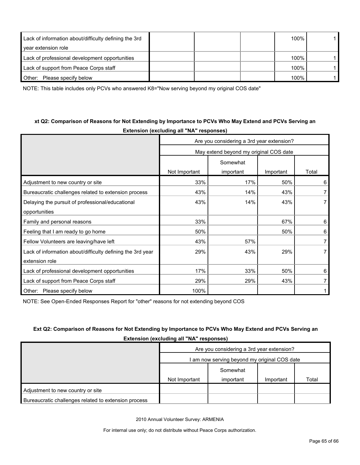| Lack of information about/difficulty defining the 3rd |  | 100% |  |
|-------------------------------------------------------|--|------|--|
| year extension role                                   |  |      |  |
| Lack of professional development opportunities        |  | 100% |  |
| Lack of support from Peace Corps staff                |  | 100% |  |
| Other:<br>Please specify below                        |  | 100% |  |

NOTE: This table includes only PCVs who answered K8="Now serving beyond my original COS date"

### **xt Q2: Comparison of Reasons for Not Extending by Importance to PCVs Who May Extend and PCVs Serving an Extension (excluding all "NA" responses)**

|                                                            | Are you considering a 3rd year extension? |           |           |                |  |  |  |  |
|------------------------------------------------------------|-------------------------------------------|-----------|-----------|----------------|--|--|--|--|
|                                                            | May extend beyond my original COS date    |           |           |                |  |  |  |  |
|                                                            | Somewhat                                  |           |           |                |  |  |  |  |
|                                                            | Not Important                             | important | Important | Total          |  |  |  |  |
| Adjustment to new country or site                          | 33%                                       | 17%       | 50%       | 6              |  |  |  |  |
| Bureaucratic challenges related to extension process       | 43%                                       | 14%       | 43%       | 7              |  |  |  |  |
| Delaying the pursuit of professional/educational           | 43%                                       | 14%       | 43%       | 7              |  |  |  |  |
| opportunities                                              |                                           |           |           |                |  |  |  |  |
| Family and personal reasons                                | 33%                                       |           | 67%       | 6              |  |  |  |  |
| Feeling that I am ready to go home                         | 50%                                       |           | 50%       | 6              |  |  |  |  |
| Fellow Volunteers are leaving/have left                    | 43%                                       | 57%       |           | $\overline{7}$ |  |  |  |  |
| Lack of information about/difficulty defining the 3rd year | 29%                                       | 43%       | 29%       | $\overline{7}$ |  |  |  |  |
| extension role                                             |                                           |           |           |                |  |  |  |  |
| Lack of professional development opportunities             | 17%                                       | 33%       | 50%       | 6              |  |  |  |  |
| Lack of support from Peace Corps staff                     | 29%                                       | 29%       | 43%       | 7              |  |  |  |  |
| Other: Please specify below                                | 100%                                      |           |           |                |  |  |  |  |

NOTE: See Open-Ended Responses Report for "other" reasons for not extending beyond COS

### **Ext Q2: Comparison of Reasons for Not Extending by Importance to PCVs Who May Extend and PCVs Serving an**

**Extension (excluding all "NA" responses)**

|                                                      | Are you considering a 3rd year extension?<br>I am now serving beyond my original COS date |           |           |       |  |
|------------------------------------------------------|-------------------------------------------------------------------------------------------|-----------|-----------|-------|--|
|                                                      |                                                                                           |           |           |       |  |
|                                                      |                                                                                           | Somewhat  |           |       |  |
|                                                      | Not Important                                                                             | important | Important | Total |  |
| Adjustment to new country or site                    |                                                                                           |           |           |       |  |
| Bureaucratic challenges related to extension process |                                                                                           |           |           |       |  |

2010 Annual Volunteer Survey: ARMENIA